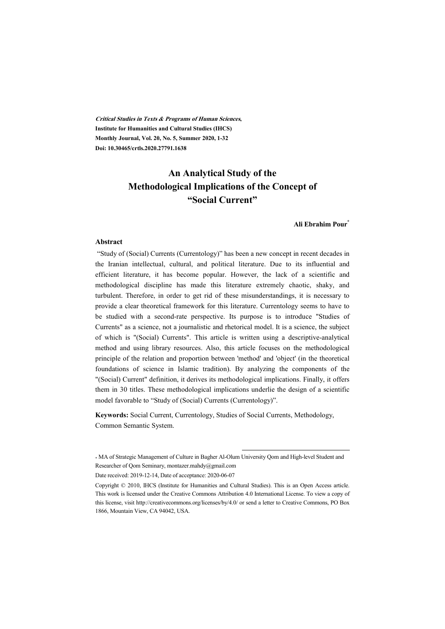**Critical Studies in Texts & Programs of Human Sciences, Institute for Humanities and Cultural Studies (IHCS) Monthly Journal, Vol. 20, No. 5, Summer 2020, 1-32 Doi: 10.30465/crtls.2020.27791.1638** 

# **An Analytical Study of the Methodological Implications of the Concept of "Social Current"**

#### **Ali Ebrahim Pour\***

#### **Abstract**

 "Study of (Social) Currents (Currentology)" has been a new concept in recent decades in the Iranian intellectual, cultural, and political literature. Due to its influential and efficient literature, it has become popular. However, the lack of a scientific and methodological discipline has made this literature extremely chaotic, shaky, and turbulent. Therefore, in order to get rid of these misunderstandings, it is necessary to provide a clear theoretical framework for this literature. Currentology seems to have to be studied with a second-rate perspective. Its purpose is to introduce "Studies of Currents" as a science, not a journalistic and rhetorical model. It is a science, the subject of which is "(Social) Currents". This article is written using a descriptive-analytical method and using library resources. Also, this article focuses on the methodological principle of the relation and proportion between 'method' and 'object' (in the theoretical foundations of science in Islamic tradition). By analyzing the components of the "(Social) Current" definition, it derives its methodological implications. Finally, it offers them in 30 titles. These methodological implications underlie the design of a scientific model favorable to "Study of (Social) Currents (Currentology)".

**Keywords:** Social Current, Currentology, Studies of Social Currents, Methodology, Common Semantic System.

:

<sup>\*</sup> MA of Strategic Management of Culture in Bagher Al-Olum University Qom and High-level Student and Researcher of Qom Seminary, montazer.mahdy@gmail.com

Date received: 2019-12-14, Date of acceptance: 2020-06-07

Copyright © 2010, IHCS (Institute for Humanities and Cultural Studies). This is an Open Access article. This work is licensed under the Creative Commons Attribution 4.0 International License. To view a copy of this license, visit http://creativecommons.org/licenses/by/4.0/ or send a letter to Creative Commons, PO Box 1866, Mountain View, CA 94042, USA.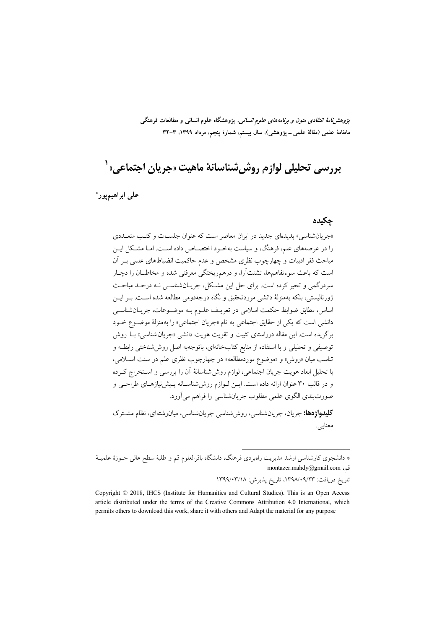*پژوهشنامهٔ انتقادی متون و برنامههای علوم انسانی*، پژوهشگاه علوم انسانی و مطالعات فرهنگی ماهنامهٔ علمی (مقالهٔ علمی ــ پژوهشی)، سال بیستم، شمارهٔ پنجم، مرداد ۱۳۹۹، ۳-۳۲

بررسي تحليلي لوازم روش0شناسانهٔ ماهيت «جريان اجتماعي» <sup>(</sup>

على ابراهيم يور\*

#### چکیده

«جریان شناسی» پدیدهای جدید در ایران معاصر است که عنوان جلسـات و کتـب متعــددی را در عرصههای علم، فرهنگ، و سیاست بهخـود اختصـاص داده اسـت. امـا مشـكل ایـن مباحث فقر ادبیات و چهارچوب نظری مشخص و عدم حاکمیت انضباطهای علمی بـر آن است که باعث سوءتفاهمها، تشتتآرا، و درهمریختگی معرفتی شده و مخاطبـان را دچـار سردرگمی و تحیر کرده است. برای حل این مشکل، جریانشناسی نـه درحـد مباحـث ژورنالیستی، بلکه بهمنزلهٔ دانشی موردتحقیق و نگاه درجهدومی مطالعه شده اسـت. بـر ایـن اساس، مطابق ضوابط حکمت اسلامی در تعریـف علـوم بـه موضـوعات، جریـانشناسـی دانشي است كه يكي از حقايق اجتماعي به نام «جريان اجتماعي» را بهمنزلة موضوع خـود برگزیده است. این مقاله درراستای تثبیت و تقویت هویت دانشی «جریان شناسی» بـا روش توصیفی و تحلیلی و با استفاده از منابع کتابخانهای، باتوجهبه اصل روش شناختی رابطـه و تناسب میان «روش» و «موضوع موردمطالعه» در چهارچوب نظری علم در سنت اسلامی، با تحلیل ابعاد هویت جریان اجتماعی، لوازم روش شناسانهٔ آن را بررسی و استخراج کـرده و در قالب ۳۰ عنوان ارائه داده است. ایــن لــوازم روششناسـانه پـیشنیازهـای طراحــی و صورتبندي الگوي علمي مطلوب جريانشناسي را فراهم مي آورد.

**کلیدواژهها:** جریان، جریانشناسے ، روش شناسے جریانشناسے ، مبان شتهای، نظام مشترک معنايي.

تاريخ دريافت: ١٣٩٨/٠٩/٢٣، تاريخ پذيرش: ١٣٩٩/٠٣/١٨

<sup>\*</sup> دانشجوی کارشناسی ارشد مدیریت راهبردی فرهنگ، دانشگاه باقرالعلوم قم و طلبهٔ سطح عالی حـوزهٔ علمیــهٔ montazer.mahdy@gmail.com {

Copyright © 2018, IHCS (Institute for Humanities and Cultural Studies). This is an Open Access article distributed under the terms of the Creative Commons Attribution 4.0 International, which permits others to download this work, share it with others and Adapt the material for any purpose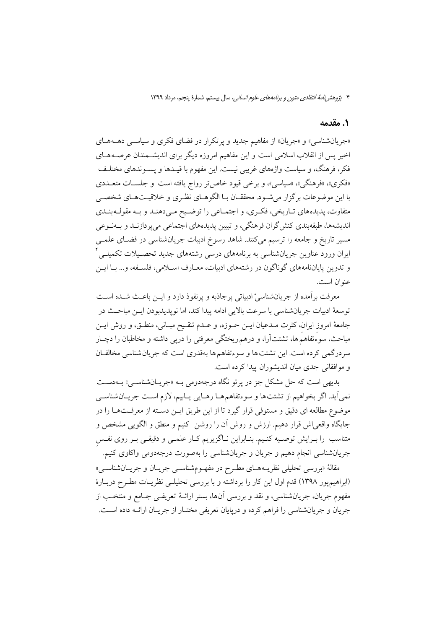#### 1. مقدمه

«جریان شناسی» و «جریان» از مفاهیم جدید و پرتکرار در فضای فکری و سیاسی دهـههـای اخیر پس از انقلاب اسلامی است و این مفاهیم امروزه دیگر برای اندیشمندان عرصههای فکر، فرهنگ، و سیاست واژههای غریبی نیست. این مفهوم با قیــدها و پســوندهای مختلـف «فکری»، «فرهنگی»، «سیاسی»، و برخی قیود خاص تر رواج یافته است و جلســات متعــددی با این موضوعات بر گزار می شـود. محققــان بــا الگوهــای نظـری و خلاقیــتهــای شخصــی متفاوت، پدیدههای تـاریخی، فکـری، و اجتمـاعی را توضـیح مـیدهنـد و بـه مقولـهبنـدی اندیشهها، طبقهبندی کنش گران فرهنگی، و تبیین پدیدههای اجتماعی میپردازنـد و بـهنــوعی مسیر تاریخ و جامعه را ترسیم میکنند. شاهد رسوخ ادبیات جریانشناسی در فضـای علمــی ایران ورود عناوین جریانشناسی به برنامههای درسی رشتههای جدید تحصـیلات تکمیلـی<sup>۲</sup> و تدوين پاياننامههاي گوناگون در رشتههاي ادبيات، معـارف اسـلامي، فلسـفه، و... بـا ايـن عنوان است.

معرفت برآمده از جريانشناسيْ ادبياتي پرجاذبه و پرنفوذ دارد و ايــن باعـث شــده اسـت توسعهٔ ادبیات جریانشناسی با سرعت بالایی ادامه پیدا کند، اما نوپدیدبودن ایــن مباحــث در جامعهٔ امروز ایران، کثرت مـدعیان ایـن حـوزه، و عـدم تنقـیح مبـانی، منطـق، و روش ایـن مباحث، سوءتفاهم ها، تشتتآرا، و درهم ریختگی معرفتی را درپی داشته و مخاطبان را دچـار سردرگمی کرده است. این تشتت ها و سوءتفاهم ها بهقدری است که جریان شناسی مخالفان و موافقانی جدی مبان اندیشوران پیدا کرده است.

بديهي است كه حل مشكل جز در پرتو نگاه درجهدومي بـه «جريــانشناســي» بــهدســت نمي اَيد. اگر بخواهيم از تشتتها و سوءتفاهمهـا رهـايي پـابيم، لازم اسـت جريــان شناســي موضوع مطالعه اي دقيق و مستوفى قرار گيرد تا از اين طريق ايـن دسـته از معرفـتهــا را در جايگاه واقعي¦ش قرار دهيم. ارزش و روش اَن را روشن کنيم و منطق و الگويي مشخص و متناسب را بـرایش توصـیه کنـیم. بنـابراین نـاگزیریم کـار علمـی و دقیقـی بـر روی نفـس جریانشناسی انجام دهیم و جریان و جریانشناسی را بهصورت درجهدومی واکاوی کنیم.

مقالهٔ «بررسی تحلیلی نظریــههــای مطـرح در مفهــومشناســی جریــان و جریــانشناســی» (ابراهیمپور ۱۳۹۸) قدم اول این کار را برداشته و با بررسی تحلیلـی نظریـات مطـرح دربـارهٔ مفهوم جريان، جريانشناسي، و نقد و بررسي أنها، بستر ارائــهٔ تعريفــي جــامع و منتخـب از جريان و جريانشناسي را فراهم كرده و دريايان تعريفي مختــار از جريــان ارائــه داده اســت.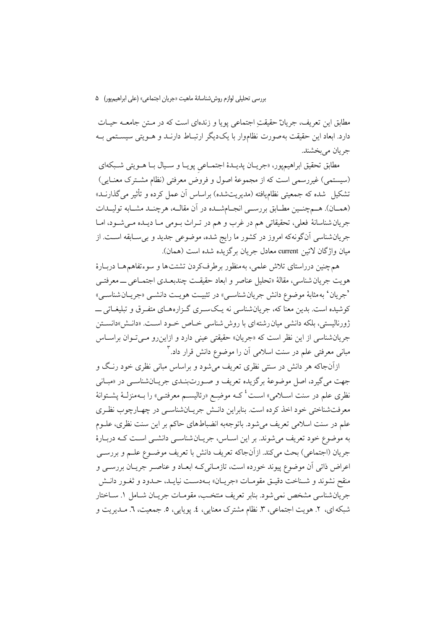بررسي تحليلي لوازم روش شناسانهٔ ماهيت «جريان اجتماعي» (على ابراهيم يور) ه

مطابق این تعریف، جریانْ حقیقتِ اجتماعی پویا و زندهای است که در مـتن جامعــه حیـات دارد. ابعاد این حقیقت به صورت نظاموار با یک دیگر ارتبـاط دارنــد و هــویتی سیســتمی بــه جريان مي بخشند.

مطابق تحقیق ابراهیمپور، «جریـان پدیـدهٔ اجتمـاعی پویـا و سـيال بـا هــويتی شــبکهای (سیستمی) غیررسمی است که از مجموعهٔ اصول و فروض معرفتی (نظام مشترک معنایی) تشکیل شده که جمعیتی نظامٖیافته (مدیریتشده) براساس آن عمل کرده و تأثیر میگذارنــد» (همــان). هــمچنــين مطـابق بررســي انجــامشــده در آن مقالــه، هرچنــد مشــابه توليــدات جريان شناسانهٔ فعلي، تحقيقاتي هم در غرب و هم در تـراث بـومي مـا ديـده مـي شـود، امـا جریانشناسی آنگونهکه امروز در کشور ما رایج شده، موضوعی جدید و بی سـابقه اسـت. از مبان واژگان لاتين current معادل جريان برگزيده شده است (همان).

هم چنین درراستای تلاش علمی، بهمنظور برطرفکردن تشتتها و سوءتفاهمهما دربـارهٔ هويت جريان شناسي، مقالهٔ «تحليل عناصر و ابعاد حقيقت چندبعـدي اجتمـاعي ـــ معرفتــي 'جريان' به مثابهٔ موضوع دانش جريان شناسـي» در تثبيـت هويـت دانشــي «جريــان شناســي» کوشیده است. بدین معنا که، جریان شناسی نه یـکسـری گـزارههـای متفـرق و تبلیغــاتی ــــ ژورنالیستی، بلکه دانشی میان رشته ای با روش شناسی خـاص خـود اسـت. «دانـش»دانسـتن جریان شناسی از این نظر است که «جریان» حقیقتی عینی دارد و ازاین رو میتوان براساس مبانی معرفتی علم در سنت اسلامی آن را موضوع دانش قرار داد.<sup>۳</sup>

ازآنجاکه هر دانش در سنتی نظری تعریف می شود و براساس مبانی نظری خود رنگ و جهت مي گيرد، اصل موضوعهٔ برگزيده تعريف و صـورتبنـدي جريـانشناسـي در «مبـاني نظری علم در سنت اســلامی» اســت<sup>، ک</sup>ـــه موضِــع «رئالیســم معرفتــی» را بــهمنزلــهٔ یشــتوانهٔ معرفتشناختی خود اخذ کرده است. بنابراین دانـش جریـانشناسـی در چهـارچوب نظـری علم در سنت اسلامی تعریف میشود. باتوجهبه انضباطهای حاکم بر این سنت نظری، علـوم به موضوع خود تعریف میشوند. بر این اسـاس، جریــانشناســی دانشــی اســت کــه دربــارهٔ جريان (اجتماعي) بحث ميكند. ازآنجاكه تعريف دانش با تعريف موضـوع علـم و بررسـي اعراض ذاتی آن موضوع پیوند خورده است، تازمـانیکـه ابعـاد و عناصـر جریـان بررســی و منقح نشوند و شـناخت دقيـق مقومـات «جريـان» بــهدسـت نيايــد، حـدود و ثغـور دانـش جريان شناسي مشخص نمي شود. بنابر تعريف منتخب، مقومـات جريـان شـامل ١. ســاختار شبكه اي، ٢. هويت اجتماعي، ٣. نظام مشترك معنايي، ٤. پويايي، ٥. جمعيت، ٦. مـديريت و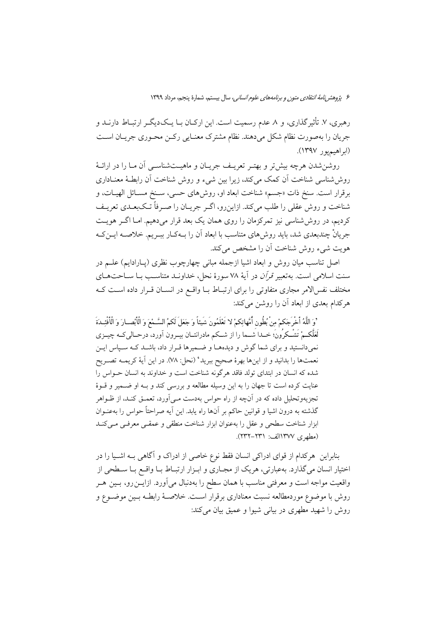رهبری، ۷. تأثیر گذاری، و ۸ عدم رسمیت است. این ارکــان بــا یــک۱دیگــر ارتبــاط دارنــد و جريان را بهصورت نظام شكل مى دهند. نظام مشترك معنـايى ركــن محـورى جريــان اســت (ابراهيم يور ١٣٩٧).

روشن شدن هرچه بیش تر و بهتـر تعریـف جریــان و ماهیــتشناســی آن مــا را در ارائــهٔ روش شناسی شناخت اّن کمک می کند، زیرا بین شیء و روش شناخت اّن رابطـهٔ معنــاداری برقرار است. سنخ ذات «جسم» شناخت ابعاد او، روش۵ای حسی، سـنخ مسـائل الهیــات، و شناخت و روش عقلی را طلب میکند. ازاین رو، اگـر جریـان را صـرفاً تـکبعـدی تعریـف کردیم، در روش شناسی نیز تمرکزمان را روی همان یک بعد قرار میدهیم. امـا اگــر هویــت جریانْ چندبعدی شد، باید روش های متناسب با ابعاد اَن را بــهکـار ببــریـم. خلاصــه ایــن کــه هويت شيء روش شناخت آن را مشخص مي كند.

اصل تناسب میان روش و ابعاد اشیا ازجمله مبانی چهارچوب نظری (پــارادایم) علــم در سنت اسلامی است. بهتعبیر *قرآن* در آیهٔ ۷۸ سورهٔ نحل، خداونـد متناسـب بـا سـاحتهـای مختلف نفس الامر مجاری متفاوتی را برای ارتبـاط بــا واقــع در انســان قــرار داده اســت کــه هر کدام بعدی از ابعاد آن را روشن می کند:

'وَ اللَّهُ أَخْرَجَكمْ مِنْ بُطُون أُمَّهاتِكمْ لا تَعْلَمُونَ شَيئاً وَ جَعَلَ لَكمُ السَّـمْعَ وَ الْأَبْصـارَ وَ الْأَفْئِـدَةَ لَعَلَّكـمْ تَشْـكرُونَ؛ خــدا شــما را از شــكم مادرانتــان بيــرون آورد، درحــالىكــه چيــزى نمی دانستید و برای شما گوش و دیدههـا و ضـمیرها قـرار داد، باشـد کـه سـیاس ایـن نعمتها را بدانيد و از اينها بهرهٔ صحيح ببريد' (نحل: ٧٨). در اين آيهٔ كريمــه تصـريح شده که انسان در ابتدای تولد فاقد هرگونه شناخت است و خداوند به انسان حـواس را عنایت کرده است تا جهان را به این وسیله مطالعه و بررسی کند و بـه او ضـمیر و قـوهٔ تجزیهوتحلیل داده که در آنچه از راه حواس بهدست مـیآورد، تعمـق کنـد، از ظـواهر گذشته به درون اشیا و قوانین حاکم بر آنها راه یابد. این آیه صراحتاً حواس را بهعنـوان ابزار شناخت سطحي و عقل را بهعنوان ابزار شناخت منطقي و عمقـي معرفـي مـي كنـد (مطهري ١٣٧٧الف: ٢٣١-٢٣٢).

بنابراین هرکدام از قوای ادراکی انسان فقط نوع خاصی از ادراک و آگاهی بـه اشـیا را در اختیار انسان میگذارد. بهعبارتی، هریک از مجـاری و ابـزار ارتبـاط بـا واقـع بـا سـطحی از واقعیت مواجه است و معرفتی مناسب با همان سطح را بهدنبال میآورد. ازایــن(و، بــین هــر روش با موضوع موردمطالعه نسبت معناداري برقرار اسـت. خلاصـهٔ رابطـه بـين موضـوع و روش را شهید مطهری در بیانی شیوا و عمیق بیان میکند: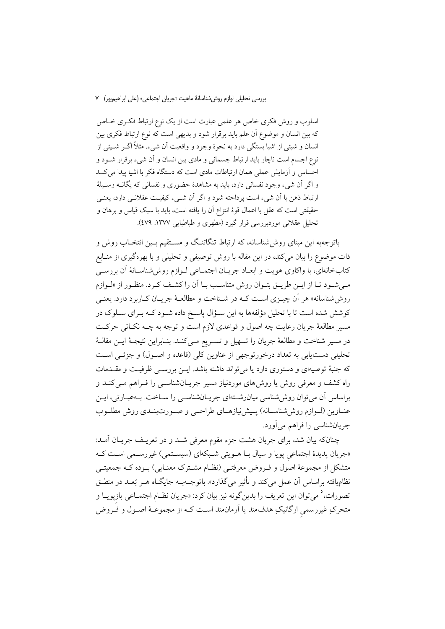اسلوب و روش فکری خاص هر علمی عبارت است از یک نوع ارتباط فکـری خـاص که بین انسان و موضوع آن علم باید برقرار شود و بدیهی است که نوع ارتباط فکری بین انسان و شیئی از اشیا بستگی دارد به نحوهٔ وجود و واقعیت آن شیء. مثلاً اگــر شــیئی از نوع اجسام است ناچار باید ارتباط جسمانی و مادی بین انسان و آن شیء برقرار شـود و احساس و آزمایش عملی همان ارتباطات مادی است که دستگاه فکر با اشیا پیدا می کنـد و اگر آن شيء وجود نفساني دارد، بايد به مشاهدهٔ حضوري و نفساني كه يگانــه وســيلهٔ ارتباط ذهن با أن شيء است يرداخته شود و اگر أن شـيء كيفيـت عقلانـي دارد، يعنـي حقيقتي است كه عقل با اعمال قوهٔ انتزاع آن را يافته است، بايد با سبك قياس و برهان و تحلیل عقلانی موردبررسی قرار گیرد (مطهری و طباطبایی ۱۳۷۷: ٤٧٩).

باتوجهبه این مبنای روش شناسانه، که ارتباط تنگاتنگ و مسـتقیم بـین انتخـاب روش و ذات موضوع را بیان میکند، در این مقاله با روش توصیفی و تحلیلی و با بهرهگیری از منــابع کتابخانهای، با واکاوی هویت و ابعـاد جریـان اجتمـاعی لـوازم روششناسـانهٔ آن بررسـی مـی شـود تــا از ایــن طریــق بتــوان روش متناســب بــا آن را کشــف کــرد. منظــور از «لــوازم روش شناسانه» هر أن چیبزی است کـه در شـناخت و مطالعـهٔ جریـان کـاربرد دارد. بعنـی کوشش شده است تا با تحلیل مؤلفهها به این سـؤال پاسـخ داده شـود کــه بـرای سـلوک در مسیر مطالعهٔ جریان رعایت چه اصول و قواعدی لازم است و توجه به چـه نکـاتی حرکـت در مسیر شناخت و مطالعهٔ جریان را تسهیل و تسـریع مـیکنـد. بنـابراین نتیجـهٔ ایــن مقالــهٔ تحلیلی دست یابی به تعداد درخورتوجهی از عناوین کلی (قاعده و اصـول) و جزئــی اسـت که جنبهٔ توصیهای و دستوری دارد یا میتواند داشته باشد. ایـن بررسـی ظرفیـت و مقــدمات راه کشف و معرفی روش یا روش۵های موردنیاز مسیر جریـانشناسـی را فـراهم مـی کنـد و براساس آن می توان روش،شناسی میان رشتهای جریـان شناســی را ســاخت. بــهعبــارتی، ایــن عنـاوين (لـوازم روش،شناسـانه) پـيش:يازهـاي طراحـي و صـورتبنـدي روش مطلـوب جریانشناسی را فراهم می آورد.

چنانکه بیان شد، برای جریان هشت جزء مقوم معرفی شـد و در تعریـف جریـان آمـد: «جریان پدیدهٔ اجتماعی پویا و سیال بـا هـویتی شـبکهای (سیسـتمی) غیررسـمی اسـت کـه متشکل از مجموعهٔ اصول و فـروض معرفتـی (نظـام مشـترک معنـایی) بـوده کـه جمعیتـی نظامیافته براساس اَن عمل میکند و تأثیر میگذارد». باتوجــهبــه جایگــاه هــر بُعــد در منطــق تصورات، ° مي توان اين تعريف را بدين گونه نيز بيان كرد: «جريان نظـام اجتمـاعي بازيويــا و متحرکِ غیررسمی ارگانیکِ هدفمند یا اَرمانِمند است کـه از مجموعـهٔ اصـول و فــروض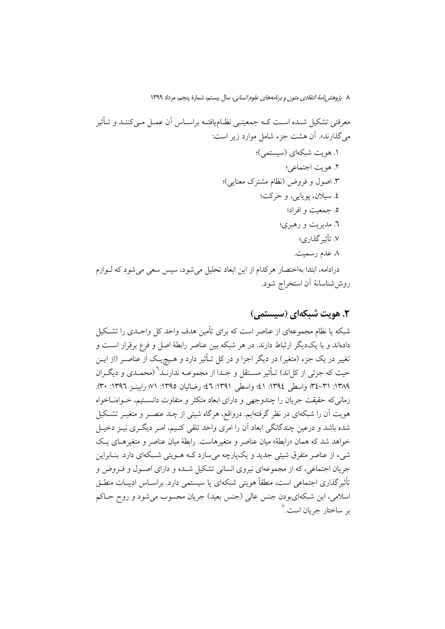# ٢. هويت شبكهاي (سيستمي)

شبکه یا نظام مجموعهای از عناصر است که برای تأمین هدف واحد کل واحـدی را تشـکیل دادهاند و با یکدیگر ارتباط دارند. در هر شبکه بین عناصر رابطهٔ اصل و فرع برقرار است و تغییر در یک جزء (متغیر) در دیگر اجزا و در کل تـأثیر دارد و هــیچٖیـک از عناصــر (از ایــن حیث که جزئی از کلان) تـأثیر مسـتقل و جـدا از مجموعــه ندارنــد<sup>٦</sup> (محمــدي و ديگــران ١٣٨٩: ٣١-٣٤؛ واسطى ١٣٩٤: ٤١؛ واسطى ١٣٩١: ٤٦؛ رضائيان ١٣٩٥: ٧١؛ رابينـز ١٣٩٦: ٣٠). زمانی که حقیقت جریان را چندوجهی و دارای ابعاد متکثر و متفاوت دانستیم، خـواهنــاخواه هویت آن را شبکهای در نظر گرفتهایم. درواقع، هرگاه شیئی از چند عنصـر و متغیـر تشـکیل شده باشد و درعین چندگانگی ابعاد آن را امری واحد تلقی کنـیم، امـر دیگـری نیــز دخیــل خواهد شد که همان «رابطهٔ» میان عناصر و متغیرهاست. رابطهٔ میان عناصر و متغیرهـای یـک شيء از عناصر متفرق شيئي جديد و يکپارچه ميسازد کـه هــويتي شــبکهاي دارد. بنــابراين جریان اجتماعی، که از مجموعهای نیروی انسانی تشکیل شـده و دارای اصـول و فـروض و تأثیر گذاری اجتماعی است، منطقاً هویتی شبکهای یا سیستمی دارد. براسـاس ادبیـات منطـق اسلامي,، اين شبكهايبودن جنس عالي (جنس بعيد) جريان محسوب مي شود و روح حــاكم بر ساختار جريان است.<sup>۷</sup>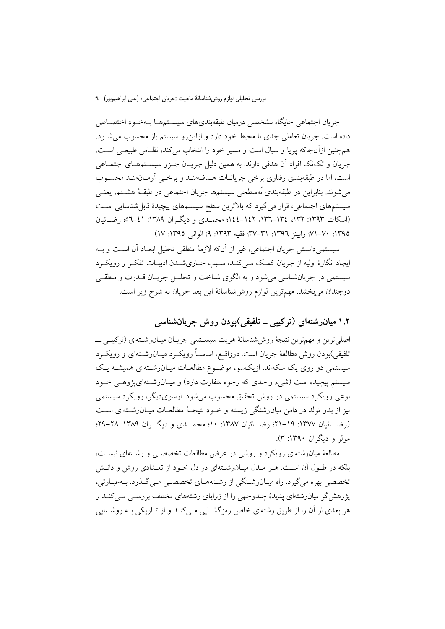#### بررسي تحليلي لوازم روش شناسانهٔ ماهيت «جريان اجتماعي» (على ابراهيم يور) ـ ٩

جريان اجتماعي جايگاه مشخصي درميان طبقهبنديهاي سيسـتمهـا بــهخـود اختصــاص داده است. جریان تعاملی جدی با محیط خود دارد و ازاینرو سیستم باز محسوب می شود. همچنین ازآنجاکه یویا و سیال است و مسیر خود را انتخاب می کند، نظـامی طبیعـی اسـت. جريان و تکتک افراد اَن هدفي دارند. به همين دليل جريـان جـزو سيسـتمهـاي اجتمـاعي است، اما در طبقهبندی رفتاری برخی جریانـات هــدفمنـد و برخــی أرمـانمنـد محسـوب می شوند. بنابراین در طبقهبندی نُهسطحی سیستمها جریان اجتماعی در طبقـهٔ هشــتم، یعنــی سیستمهای اجتماعی، قرار میگیرد که بالاترین سطح سیستمهای پیچیدهٔ قابلشناسایی است (اسکات ۱۳۹۳: ۱۳۲. ١٣٤–۱۲۲. ۱٤۲–۱٤٤؛ محمـدی و دیگـران ۱۳۸۹: ٤۱–۵۲؛ رضـائیان ١٣٩٥: ٧٠-٧١؛ راسنز ١٣٩٦: ٣١-٣٧؛ فقيه ١٣٩٣: ٩؛ الواني ١٣٩٥: ١٧).

سيستمي دانستن جريان اجتماعي، غير از آنكه لازمهٔ منطقي تحليل ابعــاد آن اسـت و بــه ایجاد انگارهٔ اولیه از جریان کمک مـیکنـد، سـبب جـاریشـدن ادبیـات تفکـر و رویکـرد سیستمی در جریانشناسی می شود و به الگوی شناخت و تحلیـل جریـان قــدرت و منطقــی دوچندان می بخشد. مهمترین لوازم روش شناسانهٔ این بعد جریان به شرح زیر است.

### ۱.۲ میانرشتهای (ترکیبی ــ تلفیقی)بودن روش جریانشناسی

اصلی ترین و مهمترین نتیجهٔ روششناسانهٔ هویت سیستمی جریـان میـانرشـتهای (ترکیبـی ـــ تلفیقی)بودن روش مطالعهٔ جریان است. درواقــع، اساســاً رویکــرد میــان٫شــتهای و رویکــرد سیستمی دو روی یک سکهاند. ازیکسو، موضـوع مطالعـات میـان(شـتهای همیشـه یـک سیستم پیچیده است (شیء واحدی که وجوه متفاوت دارد) و میـان(شــتهای&وهـی خــود نوعي رويکرد سيستمي در روش تحقيق محسوب مي شود. ازسوي ديگر، رويکرد سيستمي نیز از بدو تولد در دامن میانرشتگی زیسته و خـود نتیجـهٔ مطالعـات میـانرشـتهای اسـت (رضـــائيان ١٣٧٧: ١٩–٢١؛ رضـــائيان ١٣٨٧: ١٠؛ محمــدي و ديگـــران ١٣٨٩: ٢٨–٢٩؛ مولم و دیگران ۱۳۹۰: ۳).

مطالعهٔ میانرشتهای رویکرد و روشی در عرض مطالعات تخصصــی و رشــتهای نیســت، بلکه در طـول آن اسـت. هـر مـدل ميـان(شـتهاي در دل خـود از تعـدادي روش و دانـش تخصصی بهره می گیرد. راه میـانِ رشـتگی از رشـتههـای تخصصــی مـی گــذرد. بـهعبـارتی، یژوهش گر میانرشتهای پدیدهٔ چندوجهی را از زوایای رشتههای مختلف بررسبی مبی کنـد و هر بعدی از آن را از طریق رشتهای خاص رمزگشــایی مــی کنــد و از تــاریکی بــه روشــنایی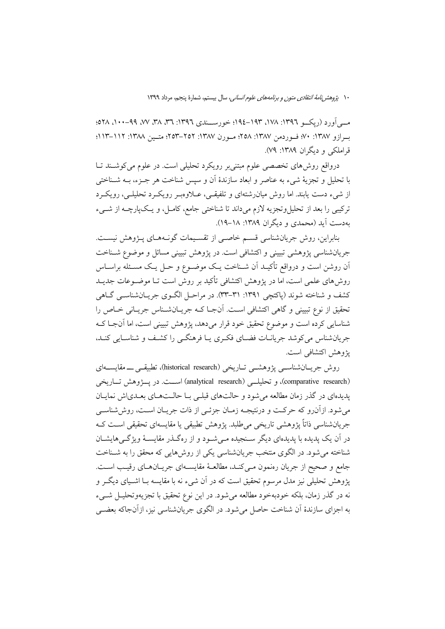مبی آورد (ریکسو ۱۳۹٦: ۱۷۸، ۱۹۳–۱۹٤؛ خورسسندی ۱۳۹۲: ۳۹، ۳۸، ۷۷، ۹۹–۱۰۰، ۲۸ه؛ ب ازو ١٣٨٧: ٧٠؛ ف وردمن ١٣٨٧: ٢٥٨؛ مـورن ١٣٨٧: ٢٥٢-٢٥٣؛ متـين ١٣٨٨: ١١٢–١١٢؛ قراملکی و دیگران ۱۳۸۹: ۷۹).

درواقع روشهای تخصصی علوم مبتنیبر رویکرد تحلیلی است. در علوم میکوشند تـا با تحلیل و تجزیهٔ شیء به عناصر و ابعاد سازندهٔ آن و سپس شناخت هر جـزء، بــه شــناختی از شيء دست يابند. اما روش ميان(شتهاي و تلفيقـي، عــلاوهبـر رويكـرد تحليلـي، رويكـرد ترکیبی را بعد از تحلیل وتجزیه لازم میداند تا شناختی جامع، کامـل، و یـکپارچــه از شــیء بهدست آید (محمدی و دیگران ۱۳۸۹: ۱۸–۱۹).

بنابراین، روش جریان شناسی قسم خاصبی از تقسیمات گونـههـای پـژوهش نیسـت. جریانشناسی پژوهشی تبیینی و اکتشافی است. در پژوهش تبیینی مسائل و موضوع شـناخت اّن روشن است و درواقع تأکیـد اَن شـناخت یـک موضـوع و حـل یـک مسـئله براسـاس روشهای علمی است، اما در پژوهش اکتشافی تأکید بر روش است تــا موضــوعات جدیــد کشف و شناخته شوند (پاکتچی ۱۳۹۱: ۳۱–۳۳). در مراحـل الگــوی جریــانشناســی گــاهی تحقیق از نوع تبیینی و گاهی اکتشافی است. آن جبا کـه جریـانشـناس جریـانی خـاص را شناسایی کرده است و موضوع تحقیق خود قرار می دهد، پژوهش تبیینی است، اما آن جبا ک جریانشناس می کوشد جریانـات فضـای فکـری یـا فرهنگـی را کشـف و شناسـایی کنـد، يژوهش اكتشافي است.

روش جريــانشناســي يژوهشــي تــاريخي (historical research)، تطبيقــي ـــــ مقايســـهاي (comparative research)، و تحليلي (analytical research) است. در پسژوهش تساريخي پدیدهای در گذر زمان مطالعه می شود و حالتهای قبلبی بـا حالـتهـای بعـدی|ش نمایـان می شود. ازآن رو که حرکت و درنتیجــه زمــان جزئــی از ذات جریــان اســت، روش شناســی جریانشناسی ذاتاً پژوهشی تاریخی میطلبد. پژوهش تطبیقی یا مقایسهای تحقیقی اسـت کـه در آن یک پدیده با پدیدهای دیگر سـنجیده مـی شـود و از رهگـذر مقایسـهٔ ویژگـی۵ایشـان شناخته می شود. در الگوی منتخب جریانشناسی یکی از روش هایی که محقق را به شـناخت جامع و صحيح از جريان رەنمون مىي كنـد، مطالعـهٔ مقايســهاى جريـانهـاى رقيـب اسـت. پژوهش تحلیلی نیز مدل مرسوم تحقیق است که در آن شیء نه با مقایسه بـا اشـیای دیگــر و نه در گذر زمان، بلکه خودبهخود مطالعه می شود. در این نوع تحقیق با تجزیهوتحلیــل شــیء به اجزای سازندهٔ اَن شناخت حاصل میشود. در الگوی جریانشناسی نیز، ازاَنجاکه بعضــی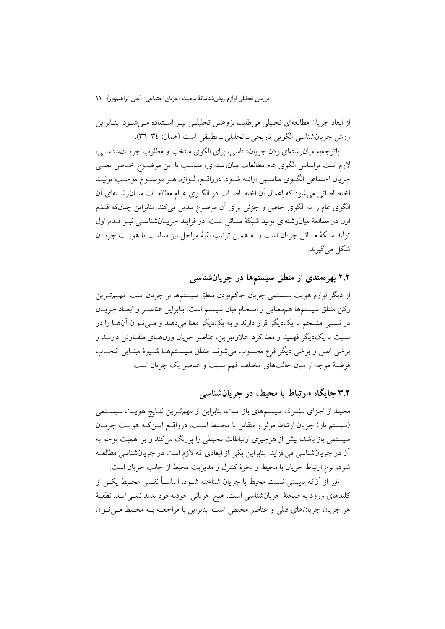از ابعاد جریان مطالعهای تحلیلی میطلبد، پژوهش تحلیلـی نیــز اســتفاده مــیشــود. بنــابراین روش جريانشناسي الگويي تاريخي ـ تحليلي ـ تطبيقي است (همان: ٣٤-٣٦).

باتوجهبه میان رشتهای و دن جریان شناسی، برای الگوی منتخب و مطلوب جریـان شناســی، لازم است براساس الگوی عام مطالعات میان(شتهای، متناسب با این موضـوع خــاص یعنـی جريان اجتماعي الگـوي مناسـبي ارائــه شـود. درواقــع، لــوازم هــر موضــوع موجــب توليــد اختصاصاتی می شود که اِعمال اَن اختصاصـات در الگــوی عــام مطالعــات میــان(شــتهای اَن الگوی عام را به الگوی خاص و جزئی برای آن موضوع تبدیل میکند. بنابراین چنانکه قــدم اول در مطالعهٔ میان رشتهای تولید شبکهٔ مسائل است، در فرایند جریــانشناســی نیــز قــدم اول توليد شبكة مسائل جريان است و به همين ترتيب بقية مراحل نيز متناسب با هويت جريــان شکل می گیرند.

۲.۲ بهرهمندی از منطق سیستمها در جریانشناسی

از دیگر لوازم هویت سیستمی جریان حاکمبودن منطق سیستمها بر جریان است. مهــمتــرین رکن منطق سیستمها همهعنایی و انسجام میان سیستم است. بنابراین عناصـر و ابعـاد جریـان در نسبتی منسجم با یک دیگر قرار دارند و به یک دیگر معنا می دهند و مـی تـوان آن۱مـا را در نسبت با یک دیگر فهمید و معنا کرد. علاوهبراین، عناصر جریان وزنهـای متفـاوتی دارنــد و برخي اصل و برخي ديگر فرع محسوب مي شوند. منطق سيسـتمهمـا شـيوهٔ مبنـايي انتخـاب فرضيهٔ موجه از ميان حالتهاى مختلف فهم نسبت و عناصر يک جريان است.

۳.۲ جایگاه «ارتباط با محیط» در جریانشناسی

محیط از اجزای مشترک سیستمهای باز است، بنابراین از مهمترین نتـایج هویـت سیسـتمی (سیستم باز) جریان ارتباط مؤثر و متقابل با محـیط اسـت. درواقـع ایــنِکـه هویــت جریــان سیستمی باز باشد، بیش از هرچیزی ارتباطات محیطی را پررنگ میکند و بر اهمیت توجه به آن در جریانشناسی می افزاید. بنابراین یکی از ابعادی که لازم است در جریانشناسی مطالعـه شود، نوع ارتباط جريان با محيط و نحوهٔ كنترل و مديريت محيط از جانب جريان است.

غیر از آنکه بایستی نسبت محیط با جریان شناخته شــود، اساســاً نفــس محـیط یکــی از كليدهاي ورود به صحنهٔ جريانشناسي است. هيچ جرياني خودبهخود يديد نمـي]َيــد. نطفـهٔ هر جريان جريانهاي قبلي و عناصر محيطي است. بنابراين با مراجعــه بــه محـيط مــي تــوان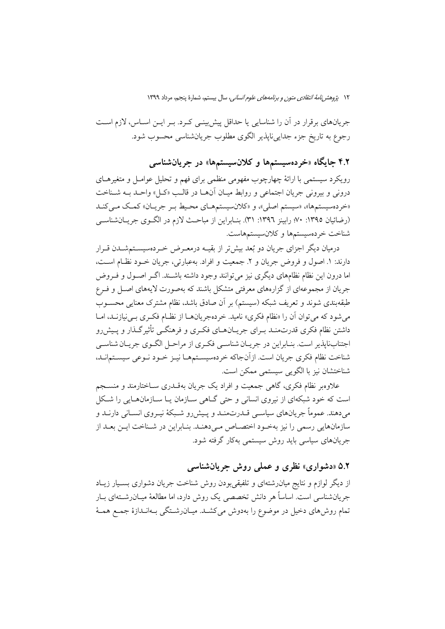جریانهای برقرار در آن را شناسایی یا حداقل پیش بینـی کـرد. بـر ایــن اســاس، لازم اسـت رجوع به تاریخ جزء جداییناپذیر الگوی مطلوب جریانشناسی محسوب شود.

۴.۲ جایگاه «خردهسیستمها و کلانسیستمها» در جریانشناس<sub>ی</sub>

رویکرد سیستمی با ارائهٔ چهارچوب مفهومی منظمی برای فهم و تحلیل عوامـل و متغیرهـای دروني و بيروني جريان اجتماعي و روابط ميـان اّنهـا در قالـب «كـل» واحـد بــه شــناخت «خردهسیستمها»، «سیستم اصلی»، و «کلانسیستمهای محیط بـر جریـان» کمـک مـیکنـد (رضائیان ١٣٩٥: ٧٠؛ رابینز ١٣٩٦: ٣١). بنـابراین از مباحـث لازم در الگـوی جریـانشناسـی شناخت خردهسيستمها وكلانسيستمهاست.

درمیان دیگر اجزای جریان دو بُعد بیش تر از بقیــه درمعــرض خــردهسیســتمشــدن قــرار دارند: ١. اصول و فروض جريان و ٢. جمعيت و افراد. بهعبارتي، جريان خـود نظـام اسـت، اما درون این نظام نظامهای دیگری نیز می توانند وجود داشته باشـند. اگـر اصـول و فـروض جریان از مجموعهای از گزارههای معرفتی متشکل باشند که بهصورت لایههای اصل و فـرع طبقهبندی شوند و تعریف شبکه (سیستم) بر آن صادق باشد، نظام مشترک معنایی محســوب می شود که می توان آن را «نظام فکری» نامید. خردهجریانهـا از نظـام فکـری بـی نیازنــد، امــا داشتن نظام فکری قدرتمنـد بـرای جریـانهـای فکـری و فرهنگـی تأثیرگـذار و پـیش٫رو اجتنابناپذیر است. بنـابراین در جریـان شناسـی فکـری از مراحـل الگـوی جریـان شناسـی شناخت نظام فكرى جريان است. ازآنجاكه خردهسيسـتمهـا نيـز خـود نـوعى سيسـتمانـد، شناختشان نيز با الگويي سيستمي ممكن است.

علاوهبر نظام فکری، گاهی جمعیت و افراد یک جریان بهقـدری سـاختارمند و منســجم است که خود شبکهای از نیروی انسانی و حتی گـاهی سـازمان یـا سـازمانهـایی را شـکل م ٍدهند. عموماً جريانهاي سياسـم قــدرتمنــد و پــيش(و شــبكهٔ نيــروي انســاني دارنــد و سازمانهایی رسمی را نیز بهخود اختصاص میدهند. بنابراین در شـناخت ایـن بعـد از جریانهای سیاسی باید روش سیستمی بهکار گرفته شود.

### ۵.۲ «دشواری» نظری و عملی روش جریانشناسی

از دیگر لوازم و نتایج میان(شتهای و تلفیقیبودن روش شناخت جریان دشواری بســیار زیــاد جریانشناسی است. اساساً هر دانش تخصصی یک روش دارد، اما مطالعهٔ میــان٫شــتهای بــار تمام روش۵مای دخیل در موضوع را بهدوش می کشـد. میـان٫شـتگی بـهانـدازهٔ جمـع همـهٔ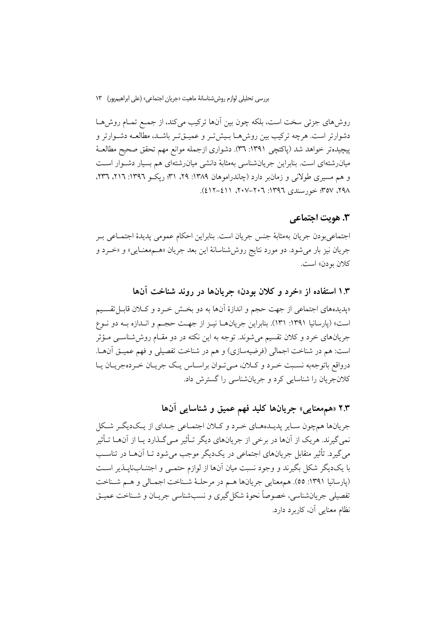روش۵های جزئی سخت است، بلکه چون بین آنها ترکیب میکند، از جمع تمـام روشهـا دشوارتر است. هرچه ترکیب بین روش هــا بـیش تـر و عمیــق تـر باشــد، مطالعــه دشــوارتر و پیچیدهتر خواهد شد (پاکتچی ۱۳۹۱: ۳٦). دشواری ازجمله موانع مهم تحقق صحیح مطالعـهٔ میان رشتهای است. بنابراین جریان شناسی بهمثابهٔ دانشی میان رشتهای هم بسیار دشـوار اسـت و هم مسیری طولانی و زمان بر دارد (چاندراموهان ۱۳۸۹: ۲۹، ۳۱؛ ریک و ۱۳۹۲: ۲۱۶، ۳۳۲. ۹۸٪، ۳۵۷؛ خورسندی ۱۳۹۲: ۲۰۲–۲۰۷، ۶۱۱–۶۱۲).

### **٣. هويت اجتماعي**

اجتماعي ہو دن جريان به مثابهٔ جنس جريان است. بنابراين احكام عمومي يديدهٔ اجتمــاعي بــر جريان نيز بار مي شود. دو مورد نتايج روش شناسانهٔ اين بعد جريان «هـممعنـايي» و «خـرد و کلان بو دن» است.

## ۱.۳ استفاده از «خرد و کلان بودن» جریانها در روند شناخت آنها

«پدیدههای اجتماعی از جهت حجم و اندازهٔ آنها به دو بخش خـرد و کـلان قابـل تقسـیم است» (پارسانیا ۱۳۹۱: ۱۳۱). بنابراین جریانهـا نیـز از جهـت حجـم و انـدازه بـه دو نـوع جریانهای خرد و کلان تقسیم میشوند. توجه به این نکته در دو مقـام روش(شناســی مــؤثر است: هم در شناخت اجمالي (فرضيهسازي) و هم در شناخت تفصيلي و فهم عميـق أن\ا. درواقع باتوجهبه نسبت خـرد و كـلان، مـي تـوان براسـاس يـك جريـان خـردهجريـان يـا کلانجریان را شناسایی کرد و جریانشناسی را گسترش داد.

# ۲.۳ «همهمعنایی» جریانها کلید فهم عمیق و شناسایی آنها

جریانها همچون سـایر پدیـدههـاي خـرد و كـلان اجتمـاعی جـداي از يـكديگـر شـكل نمی گیرند. هریک از آنها در برخی از جریانهای دیگر تـأثیر مـی گـذارد یـا از آنهـا تـأثیر می گیرد. تأثیر متقابل جریانهای اجتماعی در یکدیگر موجب می شود تــا آنهــا در تناسـب با یکدیگر شکل بگیرند و وجود نسبت میان آنها از لوازم حتمـی و اجتنــابiایــذیر اســت (پارسانیا ١٣٩١: ٥٥). همهعنايي جريانها هـم در مرحلـهٔ شـناخت اجمـالي و هـم شـناخت تفصيلي جريانشناسي، خصوصاً نحوهٔ شکل گيري و نسب شناسي جريــان و شــناخت عميــق نظام معنایی آن، کاربرد دارد.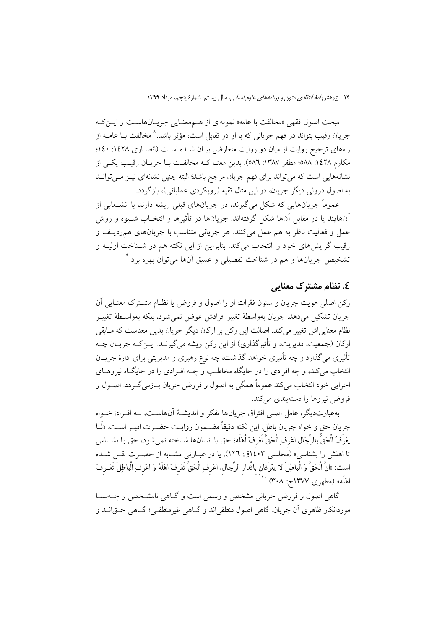مبحث اصول فقهي «مخالفت با عامه» نمونهاي از هـممعنـايي جريــانهاســت و ايــن كــه جريان رقيب بتواند در فهم جرياني كه با او در تقابل است، مؤثر باشد.^مخالفت بــا عامــه از راههای ترجیح روایت از میان دو روایت متعارض بیـان شـده اسـت (انصـاری ۱٤۲۸: ۱٤۰؛ مكارم ١٤٢٨: ٥٨٨؛ مظفر ١٣٨٧: ٥٨٦). بدين معنـا كـه مخالفـت بـا جريـان رقيـب يكـي از نشانههایی است که میتواند برای فهم جریان مرجح باشد؛ البته چنین نشانهای نیـز مـیتوانـد به اصول درونی دیگر جریان، در این مثال تقیه (رویکردی عملیاتی)، بازگردد.

عموماً جریانهایی که شکل میگیرند، در جریانهای قبلی ریشه دارند یا انشـعابی از آنهايند يا در مقابل آنها شكل گرفتهاند. جريانها در تأثيرها و انتخــاب شــيوه و روش عمل و فعاليت ناظر به هم عمل مي كنند. هر جرياني متناسب با جريانهاي همرديـف و رقیب گرایشهای خود را انتخاب میکند. بنابراین از این نکته هم در شـناخت اولیــه و تشخیص جریانها و هم در شناخت تفصیلی و عمیق آنها میتوان بهره برد.<sup>۹</sup>

### **£. نظام مشترک معنایی**

رکن اصلي هويت جريان و ستون فقرات او را اصول و فروض يا نظـام مشــترک معنــايي اَن جريان تشكيل مي دهد. جريان بهواسطة تغيير افرادش عوض نمي شود، بلكه بهواســطة تغييــر نظام معناییاش تغییر میکند. اصالت این رکن بر ارکان دیگر جریان بدین معناست که مـابقی ارکان (جمعیت، مدیریت، و تأثیرگذاری) از این رکن ریشه می گیرنـد. ایــن کـه جریــان چــه تأثیری می گذارد و چه تأثیری خواهد گذاشت، چه نوع رهبری و مدیریتی برای ادارهٔ جریــان انتخاب میکند، و چه افرادی را در جایگاه مخاطب و چــه افــرادی را در جایگــاه نیروهــای اجرایی خود انتخاب میکند عموماً همگی به اصول و فروض جریان بـازمیگـردد. اصـول و فروض نيروها را دستهبندي مي كند.

بهعبارتديگر، عامل اصلي افتراق جريانها تفكر و انديشـهٔ آنهاسـت، نــه افـراد؛ خــواه جريان حق و خواه جريان باطل. اين نكته دقيقاً مضـمون روايـت حضـرت اميـر اسـت: «لَــا يعْرَفُ الْحَقُّ بِالرِّجَالِ اعْرِفِ الْحَقَّ تَعْرِفْ أَهْلَه؛ حق با انسانها شناخته نمى شود، حق را بشــناس تا اهلش را بشناسی» (مجلسی ۱٤۰۳ق: ۱۲٦). یا در عبـارتی مشـابه از حضـرت نقـل شـده است: «انَّ الْحَقَّ وَ الْباطِلَ لا يعْرَفان باقْدار الرِّجال. اعْرف ِالْحَقَّ تَعْرفْ اهْلَهُ وَ اعْرِف ِالْباطِلَ تَعْـرِفْ اهْلَه» (مطهری ۱۳۷۷ج: ۳۰۸). <sup>۱۰</sup>

گاهی اصول و فروض جریانی مشخص و رسمی است و گـاهی نامشـخص و چــهبســا موردانکار ظاهري اَن جريان. گاهي اصول منطقي!ند و گــاهي غيرمنطقــي؛ گــاهي حــق|نــد و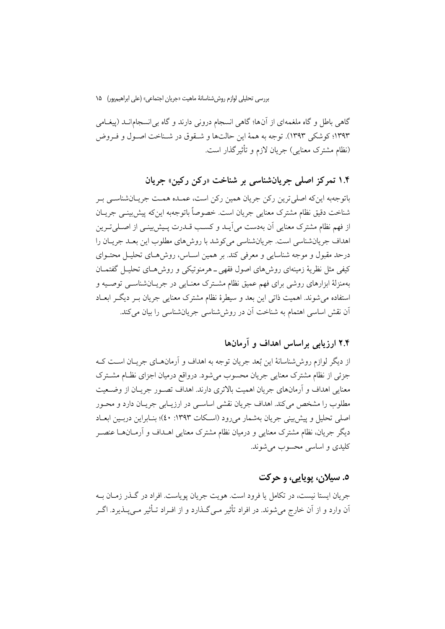گاهی باطل و گاه ملغمهای از آنها؛ گاهی انسجام درونی دارند و گاه بی انسجامانــد (پیغــامی ۱۳۹۳؛ کوشکی ۱۳۹۳). توجه به همهٔ این حالتها و شـقوق در شـناخت اصـول و فـروض (نظام مشترک معنایی) جریان لازم و تأثیر گذار است.

## ۱.۴ تمرکز اصلي جريانشناسي بر شناخت «رکن رکين» جريان

باتوجهبه این که اصلی ترین رکن جریان همین رکن است، عمـده همـت جریـانشناسـی بـر شناخت دقيق نظام مشترك معنايي جريان است. خصوصاً باتوجهبه اينكه پيشبيني جريـان از فهم نظام مشترک معنایی آن بهدست می آیــد و کســب قــدرت پــیش بینــی از اصــلیتــرین اهداف جريانشناسي است. جريانشناسي مي كوشد با روش هاي مطلوب اين بعـد جريــان را درحد مقبول و موجه شناسایی و معرفی کند. بر همین اسـاس، روش۵حای تحلیـل محتـوای کیفی مثل نظریهٔ زمینهای روش۵ای اصول فقهی ــ هرمنوتیکی و روش۵مــای تحلیــل گفتمــان بهمنزلهٔ ابزارهای روشی برای فهم عمیق نظام مشـترک معنـایی در جریــانشناســی توصــیه و استفاده می شوند. اهمیت ذاتی این بعد و سیطرهٔ نظام مشترک معنایی جریان بـر دیگـر ابعـاد اّن نقش اساسی اهتمام به شناخت اّن در روششناسی جریانشناسی را بیان میکند.

## ۲.۴ ارزیابی براساس اهداف و آرمانها

از دیگر لوازم روش شناسانهٔ این بُعد جریان توجه به اهداف و آرمانهــای جریــان اســت کــه جزئي از نظام مشترک معنايي جريان محسوب مي شود. درواقع درميان اجزاي نظـام مشــترک معنایی اهداف و آرمانهای جریان اهمیت بالاتری دارند. اهداف تصـور جریـان از وضـعیت مطلوب را مشخص می کند. اهداف جریان نقشی اساسبی در ارزیــابی جریــان دارد و محــور اصلي تحليل و پيش بيني جريان بهشمار مي رود (اسـكات ١٣٩٣: ٤٠)؛ بنــابراين دربــين ابعــاد دیگر جریان، نظام مشترک معنایی و درمیان نظام مشترک معنایی اهــداف و آرمــانهــا عنصــر كليدي و اساسي محسوب مي شوند.

### ٥. سيلان، پويايي، و حركت

جريان ايستا نيست، در تكامل يا فرود است. هويت جريان يوياست. افراد در گـذر زمـان بـه اّن وارد و از اّن خارج میشوند. در افراد تأثیر مــیگـذارد و از افــراد تــأثیر مــی4ـذیرد. اگــر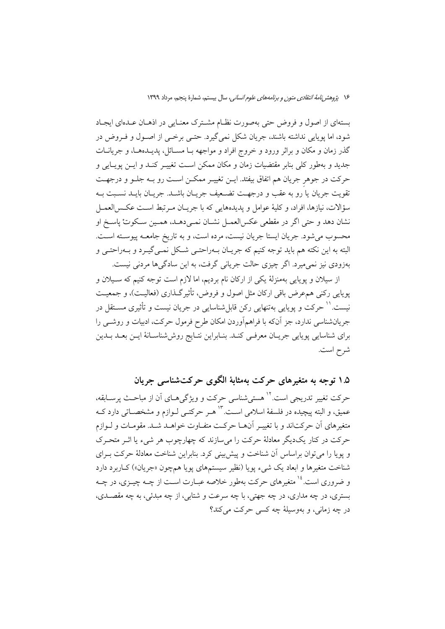بستهای از اصول و فروض حتی بهصورت نظـام مشـترک معنـایی در اذهـان عـدهای ایجـاد شود، اما پویایی نداشته باشند، جریان شکل نمیگیرد. حتـی برخـی از اصـول و فـروض در گذر زمان و مکان و براثر ورود و خروج افراد و مواجهه بــا مســائل، پدیــدههــا، و جریانــات جدید و بهطور کلی بنابر مقتضیات زمان و مکان ممکن است تغییـر کنـد و ایــن پویــایی و حرکت در جوهر جریان هم اتفاق بیفتد. ایـن تغییـر ممکـن اسـت رو بـه جلـو و درجهـت تقويت جريان يا ُرو به عقب و درجهـت تضـعيف جريــان باشــد. جريــان بايــد نســبت بــه سؤالات، نيازها، افراد، و كليهٔ عوامل و پديدههايي كه با جريـان مـرتبط اسـت عكـسالعمـل نشان دهد و حتى اگر در مقطعي عكس|لعمــل نشــان نمــي،دهــد، همــين ســكوتْ ياســخ او محسوب میشود. جریان ایستا جریان نیست، مرده است، و به تاریخ جامعــه پیوســته اســت. البته به این نکته هم باید توجه کنیم که جریـان بــهراحتــی شــکل نمــیگیــرد و بــهراحتــی و بهزودي نيز نمي ميرد. اگر چيزي حالت جرياني گرفت، به اين سادگيها مردني نيست.

از سیلان و پویایی بهمنزلهٔ یکی از ارکان نام بردیم، اما لازم است توجه کنیم که سـیلان و پویایی رکنی همءرض باقی ارکان مثل اصول و فروض، تأثیرگـذاری (فعالیـت)، و جمعیـت نیست.'' حرکت و پویایی بهتنهایی رکن قابل شناسایی در جریان نیست و تأثیری مسـتقل در جریانشناسی ندارد، جز آنکه با فراهمآوردن امکان طرح فرمول حرکت، ادبیات و روشــی را برای شناسایی پویایی جریـان معرفـی کنـد. بنـابراین نتـایج روششناسـانهٔ ایــن بعــد بــدین شرح است.

۱.۵ توجه به متغیرهای حرکت بهمثابهٔ الگوی حرکتشناسی جریان حرکت تغییر تدریجی است.<sup>۱۲</sup> هستی شناسی حرکت و ویژگیهـای آن از مباحـث پرسـابقه، عمیق، و البته پیچیده در فلسفهٔ اسلامی است. ۱۳ هـر حرکتــی لــوازم و مشخصــاتی دارد کــه متغیرهای اَن حرکتاند و با تغییـر اَنهـا حرکـت متفـاوت خواهــد شــد. مقومـات و لــوازم حرکت در کنار یکدیگر معادلهٔ حرکت را می سازند که چهارچوب هر شیء یا اثــر متحــرک و یوپا را می توان براساس آن شناخت و پیش بینی کرد. بنابراین شناخت معادلهٔ حرکت بـرای شناخت متغیرها و ابعاد یک شیء یویا (نظیر سیستمهای یویا همچون «جریان») کـاربرد دارد و ضروری است.<sup>۱۶</sup> متغیرهای حرکت بهطور خلاصه عبـارت اسـت از چــه چیــزی، در چــه بستري، در چه مداري، در چه جهتي، با چه سرعت و شتابي، از چه مبدئي، به چه مقصـدي، در چه زماني، و بهوسيلهٔ چه کسي حرکت مي کند؟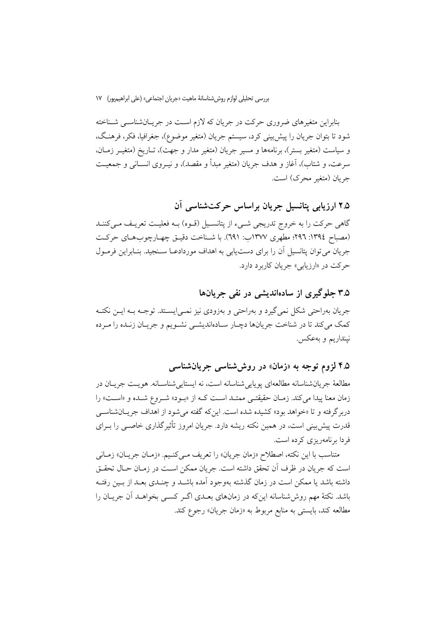بنابراین متغیرهای ضروری حرکت در جریان که لازم است در جریـانشناسـی شـناخته شود تا بتوان جريان را پيش بيني كرد، سيستم جريان (متغير موضوع)، جغرافيا، فكر، فرهنگ، و سیاست (متغیر بستر)، برنامهها و مسیر جریان (متغیر مدار و جهت)، تـاریخ (متغیـر زمـان، سرعت، و شتاب)، أغاز و هدف جريان (متغير مبدأ و مقصد)، و نيــروى انســانى و جمعيــت جريان (متغير محرك) است.

۲.۵ ارزیابی پتانسیل جریان براساس حرکتشناسی آن

گاهی حرکت را به خروج تدریجی شـیء از پتانسـیل (قـوه) بـه فعلیـت تعریـف مـیکننـد (مصباح ١٣٩٤: ٢٩٦؛ مطهري ١٣٧٧ب: ٦٩١). با شـناخت دقيـق چهـارچوبهـاي حركـت جریان می توان پتانسیل آن را برای دست یابی به اهداف موردادعـا سـنجید. بنـابراین فرمـول حرکت در «ارزیابی» جریان کاربرد دارد.

۳.۵ جلوگیری از سادهاندیشی در نفی جریانها

جریان بهراحتی شکل نمی گیرد و بهراحتی و بهزودی نیز نمــی|یســتد. توجــه بــه ایــن نکتــه كمك مي كند تا در شناخت جريانها دچـار سـادهانديشـي نشـويم و جريـان زنـده را مـرده نينداريم و بهعكس.

۴.۵ لزوم توجه به «زمان» در روششناسی جریانشناسی

مطالعهٔ جریانشناسانه مطالعهای یوپایی شناسانه است، نه ایستایی شناسـانه. هوپـت جریـان در زمان معنا پیدا می کند. زمـان حقیقتـی ممتـد اسـت کـه از «بـود» شـروع شـده و «اسـت» را دربر گرفته و تا «خواهد بود» کشیده شده است. این که گفته می شود از اهداف جریـان شناســی قدرت پیش بینی است، در همین نکته ریشه دارد. جریان امروز تأثیرگذاری خاصـبی را بــرای فردا برنامهریزی کرده است.

متناسب با اين نكته، اصطلاح «زمان جريان» را تعريف مـي كنـيم. «زمـان جريــان» زمــاني است كه جريان در ظرف آن تحقق داشته است. جريان ممكن اسـت در زمـان حـال تحقـق داشته باشد یا ممکن است در زمان گذشته بهوجود آمده باشــد و چنــدی بعــد از بــین رفتــه باشد. نکتهٔ مهم روش شناسانه اینکه در زمانهای بعـدی اگـر کســی بخواهــد آن جریــان را مطالعه كند، بايستي به منابع مربوط به «زمان جريان» رجوع كند.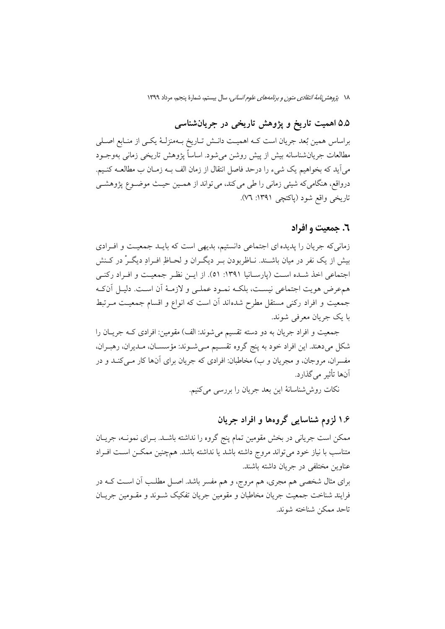١٨ يُرْوِهش *نامة انتقادى متون و برنامههاى علوم انسانى،* سال بيستم، شمارة ينجم، مرداد ١٣٩٩

# ۵.۵ اهمیت تاریخ و پژوهش تاریخی در جریانشناسی

براساس همین بُعد جریان است کـه اهمیـت دانـش تـاریخ بـهمنزلـهٔ یکـی از منـابع اصـلی مطالعات جریانشناسانه بیش از پیش روشن میشود. اساساً پژوهش تاریخی زمانی بهوجــود میآید که بخواهیم یک شیء را درحد فاصل انتقال از زمان الف بـه زمـان ب مطالعــه کنــیم. درواقع، هنگامیکه شیئی زمانی را طی میکند، می تواند از همـین حیـث موضـوع پژوهشـی تاريخي واقع شود (پاکتچي ١٣٩١: ٧٦).

### ٦. حمعت و افراد

زمانیکه جریان را پدیده ای اجتماعی دانستیم، بدیهی است که بایـد جمعیـت و افـرادی بیش از یک نفر در میان باشــند. نــاظربودن بــر دیگــران و لحــاظِ افــرادِ دیگــرْ در کــنش اجتماعی اخذ شـده اسـت (پارسـانیا ۱۳۹۱: ۵۱). از ایـن نظـر جمعیـت و افـراد ركنـی همءرض هويت اجتماعي نيست، بلكـه نمـود عملـي و لازمـهٔ أن اسـت. دليـل أنكـه جمعیت و افراد رکنی مستقل مطرح شدهاند آن است که انواع و اقسام جمعیت مـرتبط با یک جریان معرفی شوند.

جمعیت و افراد جریان به دو دسته تقسیم می شوند: الف) مقومین: افرادی کـه جریـان را شکل میدهند. این افراد خود به پنج گروه تقسیم میشوند: مؤسسان، مـدیران، رهبـران، مفسران، مروجان، و مجریان و ب) مخاطبان: افرادی که جریان برای آنها کار مـیکنـد و در آنها تأثير مي گذارد.

نکات روششاسانهٔ این بعد جریان را بررسی میکنیم.

## ۱.۶ لزوم شناسایی گروهها و افراد جریان

ممکن است جریانی در بخش مقومین تمام پنج گروه را نداشته باشـد. بـرای نمونـه، جریـان متناسب با نیاز خود می تواند مروج داشته باشد یا نداشته باشد. همچنین ممکـن اسـت افـراد عناوين مختلفي در جريان داشته باشند. برای مثال شخصی هم مجری، هم مروج، و هم مفسر باشد. اصـل مطلـب آن اسـت کــه در فرايند شناخت جمعيت جريان مخاطبان و مقومين جريان تفكيك شـوند و مقـومين جريـان تاحد ممكن شناخته شوند.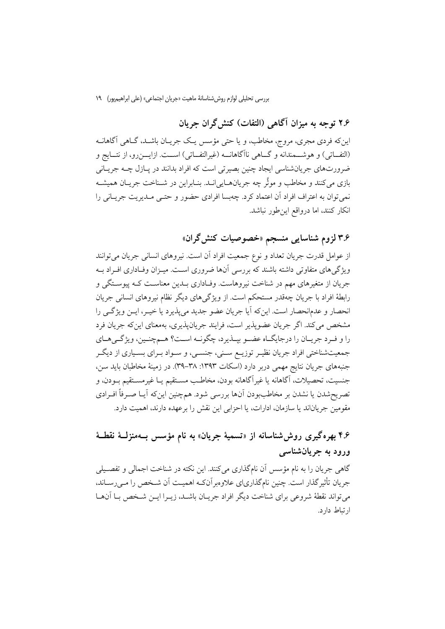۲.۶ توجه به میزان آگاهی (التفات) کنش گران جریان

اینکه فردی مجری، مروج، مخاطب، و یا حتی مؤسس یـک جریـان باشـد، گــاهی آگاهانــه (التفــاتي) و هوشــمندانه و گــاهي ناآگاهانــه (غيرالتفــاتي) اســت. ازايـــن(و، از نتــايج و ضرورتهاي جريانشناسي ايجاد چنين بصيرتي است كه افراد بدانند در يــازل چــه جريــاني بازي مي كنند و مخاطب و موثَّر چه جريانهــايي|نــد. بنــابراين در شــناخت جريــان هميشــه نمي توان به اعتراف افراد اَن اعتماد كرد. چهبسا افرادي حضور و حتـبي مــديريت جريــاني را انکار کنند، اما درواقع این طور نباشد.

۳.۶ لزوم شناسایی منسجم «خصوصیات کنش§ران»

از عوامل قدرت جريان تعداد و نوع جمعيت افراد آن است. نيروهاي انساني جريان مي توانند ویژگی های متفاوتی داشته باشند که بررسی آنها ضروری است. میـزان وفـاداری افـراد بـه جريان از متغيرهاي مهم در شناخت نيروهاست. وفـاداري بـدين معناســت كــه پيوســتگي و رابطهٔ افراد با جریان چهقدر مستحکم است. از ویژگیهای دیگر نظام نیروهای انسانی جریان انحصار و عدمانحصار است. اینکه آیا جریان عضو جدید می پذیرد یا خیــر، ایــن ویژگــی را مشخص مي كند. اگر جريان عضويذير است، فرايند جريان،پذيري، بهمعناي اين كه جريان فرد را و فيرد جريبان را درجايگياه عضيو بيبذيرد، چگونيه است؟ هيمچنيين، ويژگي هياي جمعیتشناختی افراد جریان نظیـر توزیــع ســنی، جنســی، و ســواد بــرای بسـیاری از دیگــر جنبههای جریان نتایج مهمی دربر دارد (اسکات ۱۳۹۳: ۳۸–۳۹). در زمینهٔ مخاطبان باید سن، جنسيت، تحصيلات، آگاهانه يا غيرآگاهانه بودن، مخاطـب مسـتقيم يــا غيرمسـتقيم بــودن، و تصریحشدن یا نشدن بر مخاطببودن آنها بررسی شود. همچنین اینکه آیـا صـرفاً افـرادی مقومین جریاناند یا سازمان، ادارات، یا احزابی این نقش را برعهده دارند، اهمیت دارد.

# ۴.۶ بهره گیری روش شناسانه از «تسمیهٔ جریان» به نام مؤسس بــهمنزلــهٔ نقطــهٔ ورود به جريان شناسي

گاهی جریان را به نام مؤسس آن نامگذاری میکنند. این نکته در شناخت اجمالی و تفصیلی جريان تأثير گذار است. چنين نام گذارياي علاوهبر آنكـه اهميـت آن شـخص را مـي رسـاند، میتواند نقطهٔ شروعی برای شناخت دیگر افراد جریـان باشـد، زیـرا ایـن شـخص بـا آنهـا ارتباط دارد.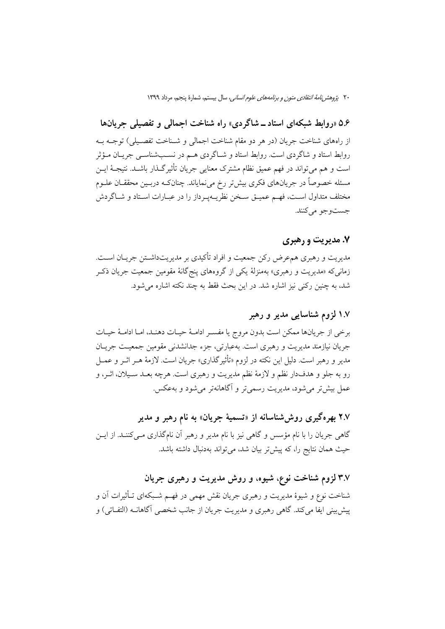۵.۶ «روابط شبکهای استاد ــ شاگردی» راه شناخت اجمالی و تفصیلی جریانها از راههای شناخت جریان (در هر دو مقام شناخت اجمالی و شـناخت تفصـیلی) توجـه بـه روابط استاد و شاگردی است. روابط استاد و شـاگردی هـم در نسـبشناسـی جریـان مـؤثر است و هم می تواند در فهم عمیق نظام مشترک معنایی جریان تأثیرگـذار باشـد. نتیجـهٔ ایــن مسئله خصوصاً در جریانهای فکری بیشتر رخ میiمایاند. چنانکه دربـین محققـان علــوم مختلف متداول اسـت، فهـم عميـق سـخن نظريــهپـرداز را در عبـارات اسـتاد و شــاگردش جست وجو مي كنند.

### **۷. مدیریت و رهبری**

مديريت و رهبري همءِ ض رکن جمعيت و افراد تأکيدي بر مديريتداشـتن جريــان اســت. زمانی که «مدیریت و رهبری» بهمنزلهٔ یکی از گروههای پنج گانهٔ مقومین جمعیت جریان ذکـر شد، به چنین رکنی نیز اشاره شد. در این بحث فقط به چند نکته اشاره می شود.

# ۱.۷ لزوم شناسایی مدیر و رهبر

برخي از جريانها ممكن است بدون مروج يا مفسـر ادامـهٔ حيـات دهنـد، امـا ادامـهٔ حيـات جریان نیازمند مدیریت و رهبری است. بهعبارتی، جزء جدانشدنی مقومین جمعیت جریـان مدیر و رهبر است. دلیل این نکته در لزوم «تأثیرگذاری» جریان است. لازمهٔ هــر اثــر و عمــل رو به جلو و هدفدار نظم و لازمهٔ نظم مدیریت و رهبری است. هرچه بعـد سـیلان، اثـر، و عمل بیش تر می شود، مدیریت رسمی تر و آگاهانه تر می شود و به عکس.

۲.۷ بهرهگیری روششناسانه از «تسمیهٔ جریان» به نام رهبر و مدیر گاهی جریان را با نام مؤسس و گاهی نیز با نام مدیر و رهبر آن نامگذاری مــیکننــد. از ایــن حیث همان نتایج را، که پیش تر بیان شد، می تواند بهدنبال داشته باشد.

۳.۷ لزوم شناخت نوع، شیوه، و روش مدیریت و رهبری جریان شناخت نوع و شیوهٔ مدیریت و رهبری جریان نقش مهمی در فهــم شــبکهای تــأثیرات آن و پیش بینی ایفا می کند. گاهی رهبری و مدیریت جریان از جانب شخصی آگاهانــه (التفــاتی) و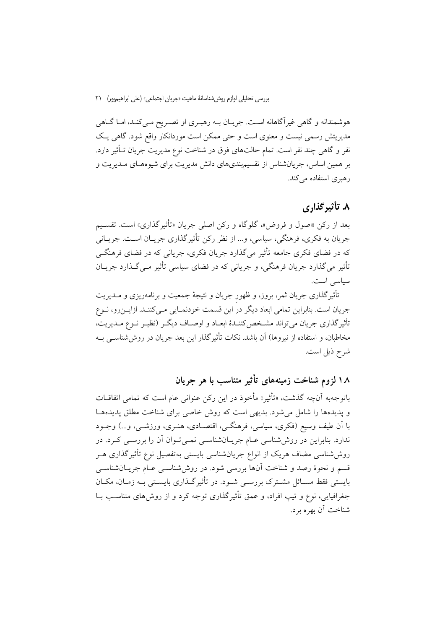هوشمندانه و گاهی غیرآگاهانه است. جریـان بــه رهبــری او تصــریح مــیکنــد، امــا گــاهی مدیریتش رسمی نیست و معنوی است و حتی ممکن است موردانکار واقع شود. گاهی یک نفر و گاهی چند نفر است. تمام حالتهای فوق در شناخت نوع مدیریت جریان تـأثیر دارد. بر همین اساس، جریانشناس از تقسیم بندی های دانش مدیریت برای شیوههـای مـدیریت و رهبری استفاده می کند.

## ۸. تأثیرگذاری

بعد از رکن «اصول و فروض»، گلوگاه و رکن اصلی جریان «تأثیرگذاری» است. تقسیم جريان به فكري، فرهنگي، سياسي، و... از نظر ركن تأثيرگذاري جريـان اسـت. جريـاني که در فضای فکری جامعه تأثیر می گذارد جریان فکری، جریانی که در فضای فرهنگے ۔<br>تأثیر میگذارد جریان فرہنگی، و جریانی که در فضای سیاسی تأثیر م*ـی گ*ـذارد جریــان سیاسی است.

تأثیرگذاری جریان ثمر، بروز، و ظهور جریان و نتیجهٔ جمعیت و برنامهریزی و مــدیریت جريان است. بنابراين تمامي ابعاد ديگر در اين قسمت خودنمـايي مـيىكننـد. ازايــن٫و، نــوع تأثیر گذاری جریان می تواند مشـخص کننـدهٔ ابعـاد و اوصـاف دیگـر (نظیـر نـوع مـدیریت، مخاطبان، و استفاده از نیروها) آن باشد. نکات تأثیر گذار این بعد جریان در روش شناســی بــه شرح ذيل است.

۱۸ لزوم شناخت زمینههای تأثیر متناسب با هر جریان

باتوجهبه أنچه گذشت، «تأثير» مأخوذ در اين ركن عنواني عام است كه تمامي اتفاقــات و پدیدهها را شامل می شود. بدیهی است که روش خاصی برای شناخت مطلق پدیدهها با اَن طيف وسيع (فكرى، سياسي، فرهنگــي، اقتصــادي، هنــري، ورزشــي، و…) وجــود ندارد. بنابراین در روششناسی عـام جریـانشناسـی نمـیتوان آن را بررسـی کـرد. در روششاسی مضاف هریک از انواع جریانشناسی بایستی بهتفصیل نوع تأثیرگذاری هـر قسم و نحوهٔ رصد و شناخت آنها بررسی شود. در روششناسی عـام جریـانشناسـی بایستی فقط مسـائل مشـترک بررسـی شـود. در تأثیرگـذاری بایسـتی بـه زمـان، مکـان جغرافیایی، نوع و تیپ افراد، و عمق تأثیرگذاری توجه کرد و از روشهای متناسـب بــا شناخت آن بهره برد.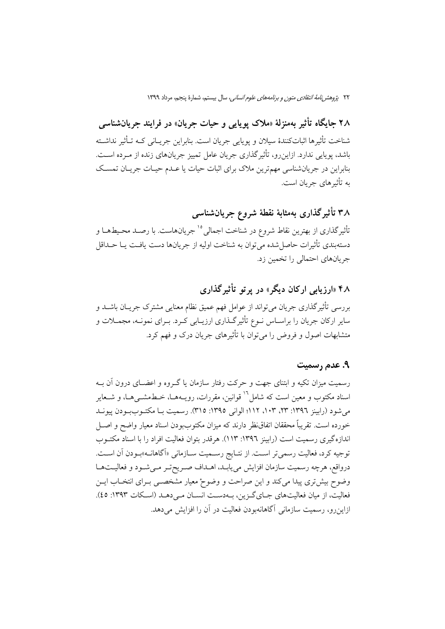٢٢ ي*ژوهش نامة انتقادى متون و برنامههاى علوم انسانى،* سال بيستم، شمارة پنجم، مرداد ١٣٩٩

۲۸ جایگاه تأثیر بهمنزلهٔ «ملاک یوپایی و حیات جریان» در فرایند جریانشناسی شناخت تأثيرها اثباتكنندهٔ سيلان و يوپايي جريان است. بنابراين جريـاني كــه تــأثير نداشــته باشد، پویایی ندارد. ازاین رو، تأثیر گذاری جریان عامل تمییز جریانهای زنده از مـرده اسـت. بنابراین در جریانشناسی مهمترین ملاک برای اثبات حیات یا عـدم حیـات جریـان تمسـک به تأثیرهای جریان است.

۳۸ تأثیرگذاری بهمثابهٔ نقطهٔ شروع جریانشناسی

تأثیرگذاری از بهترین نقاط شروع در شناخت اجمالی<sup>10</sup>جریانهاست. با رصـد محـیطهــا و دستهبندي تأثيرات حاصل شده مي توان به شناخت اوليه از جريانها دست يافـت يــا حــداقل جریانهای احتمالی را تخمین زد.

# ۴۸ «ارزیابی ارکان دیگر» در پر تو تأثیرگذاری

بررسي تأثير گذاري جريان مي تواند از عوامل فهم عميق نظام معنايي مشترک جريــان باشــد و سایر ارکان جریان را براسـاس نــوع تأثیرگــذاری ارزیــابی کــرد. بــرای نمونــه، مجمــلات و متشابهات اصول و فروض را می توان با تأثیرهای جریان درک و فهم کرد.

### ۹. عدم رسمیت

رسمیت میزان تکیه و ابتنای جهت و حرکت رفتار سازمان یا گـروه و اعضـای درون آن بـه اسناد مکتوب و معین است که شامل<sup>۱۰</sup> قوانین، مقررات، رویــههــا، خــطـمشــ<sub>ـى</sub>هــا، و شــعایر می شود (رابینز ۱۳۹۲: ۲۳، ۱۰۳، ۱۱۲؛ الوانی ۱۳۹٥: ۳۱۵). رسمیت بـا مکتـوببـودن پیونــد خورده است. تقريباً محققان اتفاق(ظر دارند كه ميزان مكتوببودن اسناد معيار واضح و اصـل اندازه گیری رسمیت است (رابینز ۱۳۹۲: ۱۱۳). هرقدر بتوان فعالیت افراد را با اسناد مکتــوب توجیه کرد، فعالیت رسمیتر اسـت. از نتـایج رسـمیت سـازمانی «اَگاهانــه»بـودن آن اسـت. درواقع، هرچه رسميت سازمان افزايش مىيابـد، اهـداف صـريحتـر مـىشـود و فعاليـتهـا وضوح بیش تری پیدا می کند و این صراحت و وضوحْ معیار مشخصـی بـرای انتخـاب ایــن فعالیت، از میان فعالیتهای جبای گزین، ببهدست انسبان مے ردهبد (اسکات ۱۳۹۳: ٤٥). ازاین رو، رسمیت سازمانی آگاهانهبودن فعالیت در آن را افزایش میدهد.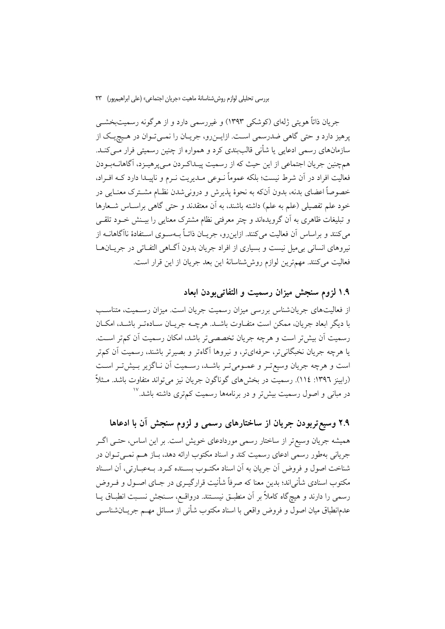بررسي تحليلي لوازم روش شناسانهٔ ماهيت «جريان اجتماعي» (على ابراهيم يور) ٢٣

جريان ذاتاً هويتي ژلهاي (كوشكي ١٣٩٣) و غيررسمي دارد و از هرگونه رسميتبخشــي یرهیز دارد و حتی گاهی ضدرسمی است. ازایـن٫رو، جریـان را نمـی تـوان در هـیچیـک از سازمانهای رسمی ادعایی یا شأنی قالببندی کرد و همواره از چنین رسمیتی فرار مــیکنــد. همچنین جریان اجتماعی از این حیث که از رسمیت پیـداکـردن مـیkهـیزد، آگاهانــهبـودن فعالیت افراد در آن شرط نیست؛ بلکه عموماً نــوعی مــدیریت نــرم و ناییــدا دارد کــه افــراد، خصوصاً اعضای بدنه، بدون آنکه به نحوهٔ پذیرش و درونی شدن نظـام مشـترک معنـایی در خود علم تفصیلی (علم به علم) داشته باشند، به آن معتقدند و حتی گاهی براسـاس شـعارها و تبلیغات ظاهری به آن گرویدهاند و چتر معرفتی نظام مشترک معنایی را بیـنش خـود تلقـی می کنند و براساس آن فعالیت می کنند. ازاین٫رو، جریــان ذاتــاً بــهســوی اســتفادهٔ ناآگاهانــه از نیروهای انسانی بی میل نیست و بسیاری از افراد جریان بدون آگـاهی التفـاتی در جریــانهــا فعالیت میکنند. مهمترین لوازم روششناسانهٔ این بعد جریان از این قرار است.

۱.۹ لزوم سنجش میزان رسمیت و التفاتیبودن ابعاد

از فعالیتهای جریانشناس بررسی میزان رسمیت جریان است. میزان رسـمیت، متناسـب یا دیگر ایعاد جریان، ممکن است متفـاوت باشـد. هرچــه جریــان ســادهتـر باشــد، امکــان رسمیت آن بیش تر است و هرچه جریان تخصصی تر باشد، امکان رسمیت آن کم تر است. یا هرچه جریان نخبگانی تر، حرفهایتر، و نیروها آگاهتر و بصیرتر باشند، رسمیت آن کم تر است و هرچه جریان وسیع تـر و عمـومی تـر باشـد، رسـمیت اَن نـاگزیر بـیش تـر اسـت (رابينز ١٣٩٦: ١١٤). رسميت در بخش۵ماي گوناگون جريان نيز مي تواند متفاوت باشد. مــثلاً در مبانی و اصول رسمیت بیش تر و در برنامهها رسمیت کم تری داشته باشد.<sup>۱۷</sup>

# ۲.۹ وسیع تربودن جریان از ساختارهای رسمی و لزوم سنجش آن با ادعاها

همیشه جریان وسیع تر از ساختار رسمی موردادعای خویش است. بر این اساس، حتـی اگـر جریانی بهطور رسمی ادعای رسمیت کند و اسناد مکتوب ارائه دهد، بـاز هـم نمــیتـوان در شناخت اصول و فروض آن جريان به آن اسناد مكتـوب بسـنده كـرد. بــهعبـارتي، آن اسـناد مکتوب اسنادی شأنیاند؛ بدین معنا که صرفاً شأنیت قرارگیــری در جــای اصــول و فــروض رسمی را دارند و هیچگاه کاملاً بر آن منطبـق نیســتند. درواقــع، ســنجش نســبت انطبــاق یــا عدمانطباق میان اصول و فروض واقعی با اسناد مکتوب شأنی از مسائل مهــم جریــان،شناســی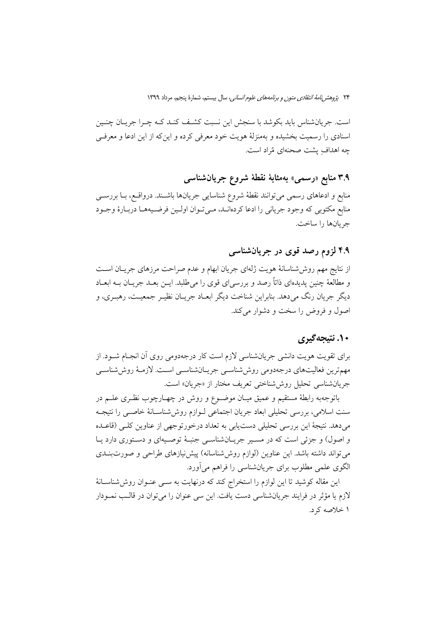است. جریانشناس باید بکوشد با سنجش این نسبت کشف کنـد کـه چـرا جریـان چنـین اسنادی را رسمیت بخشیده و بهمنزلهٔ هویت خود معرفی کرده و اینکه از این ادعا و معرفی چه اهدافِ يشت صحنهای مُراد است.

# ۳.۹ منابع «رسمی» بەمثابۂ نقطۂ شروع جریانشناس*ی*

منابع و ادعاهای رسمی میتوانند نقطهٔ شروع شناسایی جریانها باشـند. درواقـع، بــا بررســی منابع مکتوبی که وجود جریانی را ادعا کردهانـد، مـیتوان اولـین فرضـیههـا دربـارهٔ وجـود جريانها را ساخت.

### ۴.۹ لزوم رصد قوی در جریانشناسی

از نتایج مهم روششناسانهٔ هویت ژلهای جریان ابهام و عدم صراحت مرزهای جریـان اسـت و مطالعهٔ چنین پدیدهای ذاتاً رصد و بررسی ای قوی را می طلبد. ایــن بعــد جریــان بــه ابعــاد دیگر جریان رنگ میدهد. بنابراین شناخت دیگر ابعـاد جریـان نظیـر جمعیـت، رهبـری، و اصول و فروض را سخت و دشوار می کند.

### ۱۰. نتیجهگیری

برای تقویت هویت دانشی جریانشناسی لازم است کار درجهدومی روی آن انجـام شــود. از مهمترین فعالیتهای درجهدومی روششناسی جریـانشناسـی اسـت. لازمـهٔ روششناسـی جريان شناسي تحليل روش شناختي تعريف مختار از «جريان» است.

باتوجهبه رابطهٔ مستقیم و عمیق میـان موضـوع و روش در چهـارچوب نظـری علــم در سنت اسلامی، بررسی تحلیلی ابعاد جریان اجتماعی لـوازم روش،شناسـانهٔ خاصـی را نتیجـه میدهد. نتیجهٔ این بررسی تحلیلی دستیابی به تعداد درخورتوجهی از عناوین کلبی (قاعـده و اصول) و جزئی است که در مسیر جریانشناسی جنبهٔ توصیهای و دستوری دارد یا می تواند داشته باشد. این عناوین (لوازم روششناسانه) پیش نیازهای طراحی و صورتبندی الگوی علمی مطلوب برای جریانشناسی را فراهم می آورد.

این مقاله کوشید تا این لوازم را استخراج کند که درنهایت به ســی عنــوان روش(شناســانهٔ لازم يا مؤثر در فرايند جريانشناسي دست يافت. اين سي عنوان را مي توان در قالب نمــودار ۱ خلاصه کرد.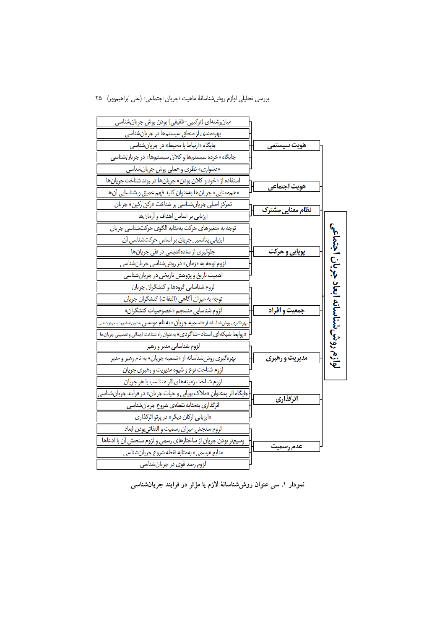#### بررسي تحليلي لوازم روش شناسانة ماهيت «جريان اجتماعي» (على ابراهيم پور) ٢٥



نمودار ۱. سی عنوان روششناسانهٔ لازم یا مؤثر در فرایند جریانشناسی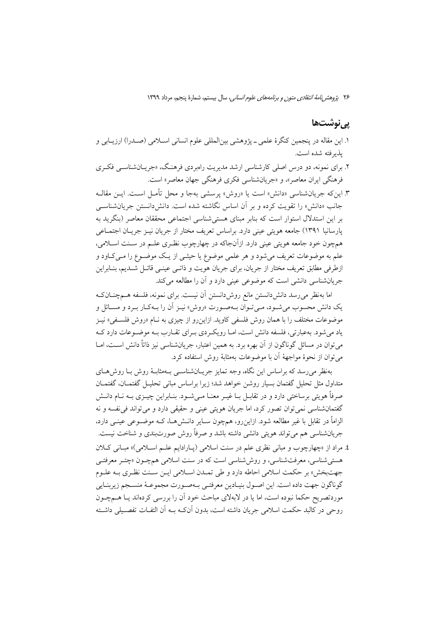### يي نوشتھا

- ١. اين مقاله در پنجمين كنگرهٔ علمي ــ پژوهشي بينالمللي علوم انساني اســلامي (صــدرا) ارزيــابي و بذبر فته شده است.
- ۲. برای نمونه، دو درس اصلی کارشناسی ارشد مدیریت رامبردی فرهنگ، «جریــانشناســی فکــری فرهنگي ايران معاصر»، و «جريانشناسي فكري فرهنگي جهان معاصر» است.

٣. اين كه جريانشناسي «دانش» است يا «روش» پرسشي بهجا و محل تأمـل اسـت. ايــن مقالــه جانب «دانش» را تقویت کرده و بر آن اساس نگاشته شده است. دانشدانستن جریان شناس<sub>می</sub> بر این استدلال استوار است که بنابر مبنای هستی شناسی اجتماعی محققان معاصر (بنگرید به پارسانیا ۱۳۹۱) جامعه هویتی عینی دارد. براساس تعریف مختار از جریان نیـز جریـان اجتمـاعی همچون خود جامعه هويتي عيني دارد. ازآنجاكه در چهارچوب نظـري علـم در سـنت اسـلامي، علم به موضوعات تعریف میشود و هر علمی موضوع یا حیثــی از یــک موضــوع را مــیکــاود و ازطرفی مطابق تعریف مختار از جریان، برای جریان هویت و ذاتـی عینـی قائـل شــدیم، بنــابراین جریانشناسی دانشی است که موضوعی عینی دارد و آن را مطالعه میکند.

اما بهنظر می رسد دانش دانستن مانع روش دانستن آن نیست. برای نمونه، فلسفه هـمچنــانکـه یک دانش محسوب می شـود، مـی تـوان بـهصـورت «روش» نیـز آن را بـهکـار بـرد و مسـائل و موضوعات مختلف را با همان روش فلسفی کاوید. ازاین٫رو از چیزی به نـام «روش فلسـفی» نیــز یاد می شود. بهعبارتی، فلسفه دانش است، امـا رویک دی بـرای تقـارب بـه موضـوعات دارد کـه می توان در مسائل گوناگون از آن بهره برد. به همین اعتبار، جریانشناسی نیز ذاتاً دانش اسـت، امــا مي توان از نحوهٔ مواجههٔ آن با موضوعات بهمثابهٔ روش استفاده کرد.

بهنظر می رسد که براساس این نگاه، وجه تمایز جریـانشناســی بــهمثابــهٔ روش بــا روش۵حـای متداول مثل تحلیل گفتمان بسیار روشن خواهد شد؛ زیرا براساس مبانی تحلیـل گفتمــان، گفتمــان صرفاً هويتي برساختي دارد و در تقابـل بــا غيــر معنــا مــي شــود. بنــابراين چيــزي بــه نــام دانــش گفتمانشناسي نمي توان تصور كرد، اما جريان هويتي عيني و حقيقي دارد و مي تواند في نفسه و نه الزاماً در تقابل با غیر مطالعه شود. ازاین٫و، همچون ســایر دانــشهــا، کــه موضــوعی عینــی دارد، جریانشناسی هم می تواند هویتی دانشی داشته باشد و صرفاً روش صورتبندی و شناخت نیست. ٤. مراد از «چهارچوب و مبانی نظری علم در سنت اسلامی (پـارادایم علـم اسـلامی)» مبـانی كـلان هستي شناسي، معرفتشناسي، و روش شناسي است كه در سنت اسلامي هم چـون «چتـر معرفتـي جهتبخش» بر حکمت اسلامی احاطه دارد و طی تمـدن اسـلامی ايـن سـنت نظـري بـه علـوم گوناگون جهت داده است. این اصـول بنیـادین معرفتـي بـهصـورت مجموعـهٔ منسـجم زیربنـایي موردتصریح حکما نبوده است، اما یا در لابهلای مباحث خود آن را بررسی کردهاند یـا هــمچــون روحي در كالبد حكمت اسلامي جريان داشته است، بدون أنكـه بــه أن التفــات تفصــيلي داشــته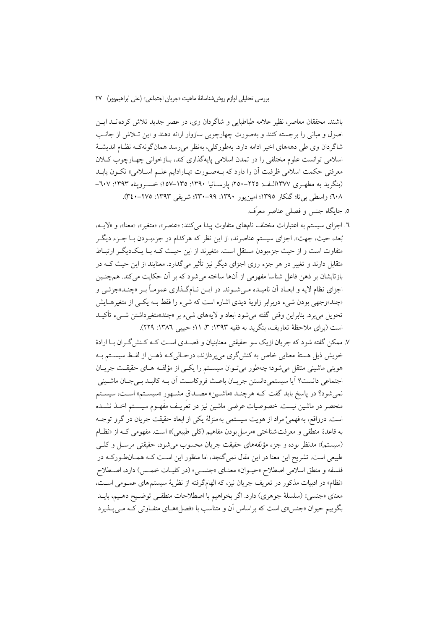باشند. محققان معاصر، نظیر علامه طباطبایی و شاگردان وی، در عصر جدید تلاش کردهانــد ایـــن اصول و مبانی را برجسته کنند و بهصورت چهارچوبی سازوار ارائه دهند و این تبلاش از جانب شاگردان وی طی دهههای اخیر ادامه دارد. بهطورکلی، بهنظر می رسد همانگونهکه نظـام اندیشـهٔ اسلامی توانست علوم مختلفی را در تمدن اسلامی پایه گذاری کند، بیازخوانی چهبارچوب کیلان معرفتي حكمت اسلامي ظرفيت أن را دارد كه بــهصـورت «پــارادايم علــم اســلامي» تكــون يابــد (بنگرید به مطهری ۱۳۷۷الـف: ۲۲۵-۲۵۰؛ یارســانیا ۱۳۹۰: ۱۳۵–۱۵۷؛ خســرویناه ۱۳۹۳: ۲۰۷– ٢٠٨؛ واسطى بيتا؛ گلكار ١٣٩٥؛ امينيور ١٣٩٠: ٩٩–٢٣٠؛ شريفي ١٣٩٣: ٢٧٥–٣٤٠).

- ٥. جايگاه جنس و فصلي عناصر معرِّف.
- ٦. اجزاي سيستم به اعتبارات مختلف نامهاي متفاوت پيدا مي كنند: «عنصر »، «متغير »، «معنا»، و «لايــه، بُعد، حيث، جهت». اجزاي سيستم عناصرند، از اين نظر كه هركدام در جزءبـودن بـا جــزء ديگــر متفاوت است و از حیث جزءبودن مستقل است. متغیرند از این حیـث کـه بـا یـکدیگـر ارتبـاط متقابل دارند و تغییر در هر جزء روی اجزای دیگر نیز تأثیر میگذارد. معنایند از این حیث کـه در بازتابشان بر ذهن فاعل شناسا مفهومی از آنها ساخته میشود که بر آن حکایت میکند. همچنـین اجزای نظام لایه و ابعـاد اَن نامیـده مـیشـوند. در ایــن نــامگـذاری عمومــاً بــر «چنــد»جزئــی و «چند»وجهی بودن شیء دربرابر زاویهٔ دیدی اشاره است که شیء را فقط بـه یکـی از متغیرهـایش تحویل میبرد. بنابراین وقتی گفته میشود ابعاد و لایههای شیء بر «چند»متغیرداشتن شــیء تأکیــد است (برای ملاحظهٔ تعاریف، بنگرید به فقیه ۱۳۹۳: ۳، ۱۱؛ حبیبی ۱۳۸۲: ۲۲۹).
- ٧. ممكن گفته شود كه جريان ازيك سو حقيقتي معنابنيان و قصـدي اسـت كـه كـنش گـران بــا ارادهٔ خویش ذیل هستهٔ معنایی خاص به کنشگری میپردازند، درحـالیکـه ذهـن از لفـظ سیسـتم بـه هویتی ماشینی منتقل می شود؛ چهطور می تـوان سیسـتم را یکـی از مؤلفـه هـای حقیقـت جریـان اجتماعي دانست؟ أيا سيستمي دانستن جريـان باعـث فروكاسـت أن بـه كالبـد بـيجـان ماشـيني نمیشود؟ در پاسخ باید گفت کـه هرچنـد «ماشـین» مصـداق مشـهور «سیسـتم» اسـت، سیسـتم منحصر در ماشین نیست. خصوصیات عرضی ماشین نیز در تعُریـف مفَهـوم سیسـتم اخــذ نشــده است. درواقع، به فهميْ مراد از هويت سيستمي به منزلة يكي از ابعاد حقيقت جريان در گرو توجـه به قاعدهٔ منطقی و معرفت شناختی «مرسل بودن مفاهیم (کلی طبیعی)» است. مفهومی کـه از «نظـام (سیستم)» مدنظر بوده و جزء مؤلفههای حقیقت جریان محسوب می شود، حقیقتی مرسـل و کلـی طبیعی است. تشریح این معنا در این مقال نمیگنجد، اما منظور این اسـت کـه همـانطـورکـه در فلسفه و منطق اسلامي اصطلاح «حيـوان» معنـاي «جنسـي» (در كليـات خمـس) دارد، اصـطلاح «نظام» در ادبیات مذکور در تعریف جریان نیز، که الهامگرفته از نظریهٔ سیستم های عمـومی اسـت، معناي «جنسي» (سلسلهٔ جوهري) دارد. اگر بخواهيم با اصطلاحات منطقـي توضـيح دهـيم، بايــد بگوییم حیوان «جنس»ی است که براساس آن و متناسب با «فصل»هـای متفـاوتی کـه مـیپــذیرد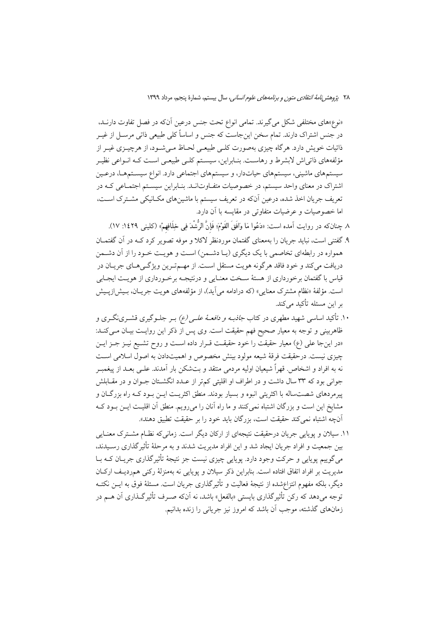«نوع»های مختلفی شکل می گیرند. تمامی انواع تحت جنس درعین آنکه در فصل تفاوت دارنــد، در جنس اشتراک دارند. تمام سخن این جاست که جنس و اساساً کلی طبیعی ذاتی مرسـل از غیــر ذاتیات خویش دارد. هرگاه چیزی بهصورت کلبی طبیعـی لحـاظ مـی شــود، از هرچیــزی غیــر از مؤلفههای ذاتی اش لابشرط و رهاست. بنـابراین، سیسـتم کلـی طبیعـی اسـت کـه انـواعی نظیـر سیستمهای ماشینی، سیستمهای حیاتدار، و سیستمهای اجتماعی دارد. انواع سیسـتمهـا، درعـین اشتراک در معنای واحد سیستم، در خصوصیات متفاوتانـد. بنـابراین سیسـتم اجتمـاعی کـه در تعریف جریان اخذ شده، درعین آنکه در تعریف سیستم با ماشینهای مکـانیکی مشـترک اسـت، اما خصوصیات و عرضیات متفاوتی در مقایسه با آن دارد.

- ٨ جنانِكه در روايت آمده است: «دَعُوا مَا وَافَقِ القَوْمَ؛ فَإِنَّ الرُّشْدَ في خلَافِهِمْ» (كليني ١٤٢٩: ١٧).
- ۹. گفتنی است، نباید جریان را بهمعنای گفتمان موردنظر لاکلا و موفه تصویر کرد کـه در آن گفتمــان همواره در رابطهای تخاصمی با یک دیگری (یـا دشـمن) اسـت و هویـت خـود را از آن دشـمن دریافت می کند و خود فاقد هر گو نه هویت مستقل اسـت. از مهــمتـرین ویژگــی هــای جریــان در قیاس با گفتمان برخورداری از هستهٔ سـخت معنـایی و درنتیجـه برخـورداری از هویـت ایجـابی است. مؤلَّفهٔ «نظام مشترک معنایی» (که درادامه می آید)، از مؤلَّفههای هویت جریـان، بـیش(زیـیش بر این مسئله تأکید میکند.
- ۱۰. تأکید اساسی شهید مطهری در کتاب *جاذبـه و دافعــهٔ علــی (ع)* بــر جلــوگیری قشــرینگــری و ظاهربینی و توجه به معیار صحیح فهم حقیقت است. وی پس از ذکر این روایـت بیـان مـی کنـد: «در اینجا علی (ع) معیار حقیقت را خود حقیقـت قــرار داده اسـت و روح تشــیع نیــز جــز ایــن چیزی نیست. درحقیقت فرقهٔ شیعه مولود بینش مخصوص و اهمیتدادن به اصول اسلامی است نه به افراد و اشخاص. قهراً شیعیان اولیه مردمی منتقد و بتشکن بار آمدند. علـی بعــد از پیغمبـر جوانی بود که ۳۳ سال داشت و در اطراف او اقلیتی کمتر از عـدد انگشـتان جـوان و در مقـابلش پیرمردهای شصتساله با اکثریتی انبوه و بسیار بودند. منطق اکثریت ایــن بــود کــه راه بزرگــان و مشایخ این است و بزرگان اشتباه نمی کنند و ما راه آنان را می رویم. منطق آن اقلیت ایــن بــود کــه آنچه اشتباه نم<sub>ه ا</sub>کند حقیقت است، بزرگان باید خود را بر حقیقت تطبیق دهند».
- ۱۱. سیلان و یوپایی جریان درحقیقت نتیجهای از ارکان دیگر است. زمانی که نظـام مشــترک معنـایی بین جمعیت و افراد جریان ایجاد شد و این افراد مدیریت شدند و به مرحلهٔ تأثیرگذاری رسـیدند، می گوییم پوپایی و حرکت وجود دارد. پوپایی چیزی نیست جز نتیجهٔ تأثیرگذاری جریـان کـه بــا مدیریت بر افراد اتفاق افتاده است. بنابراین ذکر سیلان و پویایی نه بهمنزلهٔ رکنی همردیـف ارکـان دیگر، بلکه مفهوم انتزاعشده از نتیجهٔ فعالیت و تأثیرگذاری جریان است. مسئلهٔ فوق به ایــن نکتــه توجه میدهد که رکن تأثیرگذاری بایستی «بالفعل» باشد، نه آنکه صـرف تأثیرگـذاری آن هــم در زمانهای گذشته، موجب آن باشد که امروز نیز جریانی را زنده بدانیم.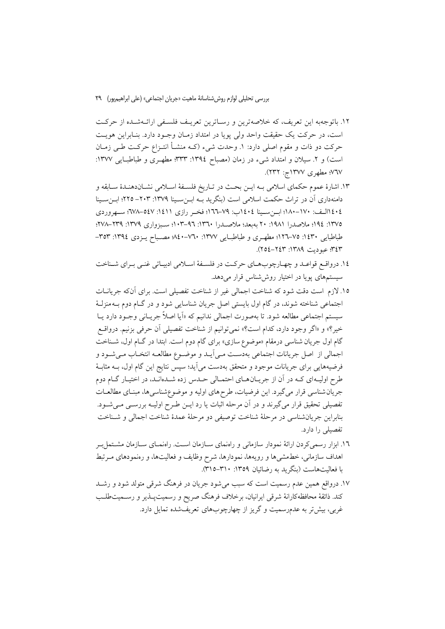١٢. باتوجهبه اين تعريف، كه خلاصهترين و رسـاترين تعريـف فلسـفي ارائـهشـده از حركـت است، در حرکت یک حقیقت واحد ولی پویا در امتداد زمـان وجـود دارد. بنـابراین هویـت حركت دو ذات و مقوم اصلي دارد: ١. وحدت شيء (كـه منشــأ انتــزاع حركــت طــي زمــان است) و ۲. سیلان و امتداد شیء در زمان (مصباح ١٣٩٤: ٣٣٣؛ مطهـري و طباطبـايي ١٣٧٧: ٧٦٧؛ مطهري ١٣٧٧ج: ٢٣٢).

- ۱۳. اشارهٔ عموم حکمای اسلامی بـه ایـن بحـث در تـاریخ فلسـفهٔ اسـلامی نشـاندهنـدهٔ سـابقه و دامنهداری اّن در تراث حکمت اسلامی است (بنگرید بــه ابــنســینا ۱۳۷۹: ۲۰۳– ۲۲۵؛ ابــنســینا ٤٠٤ االيف: ١٧٠-١٨٠؛ ابن سبينا ١٤٠٤اب: ٧٩-١٦٦؛ فخبر رازي ١٤١١: ٥٤٧-٧٨٩؛ سبهروردي ١٣٧٥: ١٩٤؛ ملاصدرا ١٩٨١: ٢٠ بهبعد؛ ملاصـدرا ١٣٦٠: ٩٦–١٠٣: سـبزواري ١٣٧٩: ٢٣٩–٢٧٨. طباطبايي ١٤٣٠: ٧٥-١٢٦؛ مطهري و طباطبايي ١٣٧٧: ٧٦٠-٨٤٠ مصـباح يـزدي ١٣٩٤: ٣٥٣-٣٤٣؛ عبوديت ١٣٨٩: ٢٤٣–٢٥٤).
- ١٤. درواقع قواعـد و چهـارچوبِهـاي حركـت در فلسـفهٔ اسـلامي ادبيـاتي غنـي بـراي شـناخت سیستمهای پویا در اختیار روششناس قرار می دهد.
- ١٥. لازم است دقت شود كه شناخت اجمالي غير از شناخت تفصيلي است. براي آنكه جريانــات اجتماعی شناخته شوند، در گام اول بایستی اصل جریان شناسایی شود و در گــام دوم بــهمنزلــهٔ سیستم اجتماعی مطالعه شود. تا بهصورت اجمالی ندانیم که «اَیا اصلاً جریـانی وجـود دارد یــا خير؟» و «اگر وجود دارد، كدام است؟» نمي توانيم از شناخت تفصيلي آن حرفي بزنيم. درواقــع گام اول جریان شناسی درمقام «موضوع سازی» برای گام دوم است. ابتدا در گـام اول، شـناخت اجمالي از اصل جريانات اجتماعي بهدست مـي]يــد و موضــوع مطالعــه انتخــاب مــيشــود و فرضیههایی برای جریانات موجود و متحقق بهدست می[ید؛ سپس نتایج این گام اول، بــه مثابــهٔ طرح اولیـهای کـه در آن از جریـانهـای احتمـالی حـدس زده شـدهانـد، در اختیـار گـام دوم جریان شناسی قرار میگیرد. این فرضیات، طرح های اولیه و موضوع شناسی ها، مبنـای مطالعـات تفصیلی تحقیق قرار میگیرند و در آن مرحله اثبات یا رد ایــن طــرح اولیــه بررســی مــیشــود. بنابراین جریانشناسی در مرحلهٔ شناخت توصیفی دو مرحلهٔ عمدهٔ شناخت اجمالی و شـناخت تفصیلے را دارد.
- ۱٦. ابزار رسمیکردن ارائهٔ نمودار سازمانی و راهنمای ســازمان اســت. راهنمــای ســازمان مشــتمل ٍــر اهداف سازمانی، خطمشیها و رویهها، نمودارها، شرح وظایف و فعالیتها، و رەنمودهای مـرتبط با فعالیتهاست (بنگرید به رضائیان ۱۳۵۹: ۳۱۰–۳۱۵).
- ۱۷. درواقع همین عدم رسمیت است که سبب میشود جریان در فرهنگ شرقی متولد شود و رشــد کند. ذائقهٔ محافظهکارانهٔ شرقی ایرانیان، برخلاف فرهنگ صریح و رسمیت پـــذیر و رســـمیتطلــب غربی، بیش تر به عدمرسمیت و گریز از چهارچوبهای تعریفشده تمایل دارد.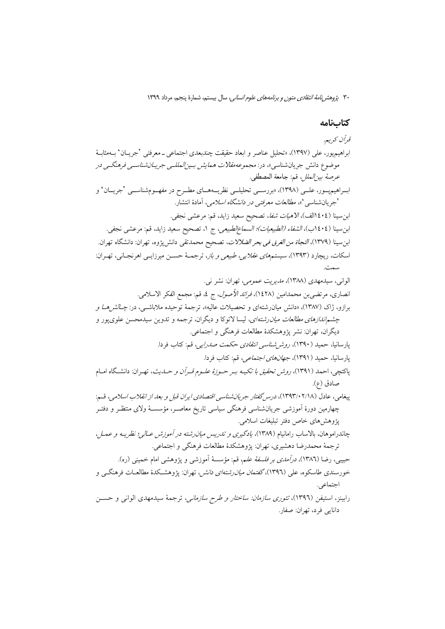### كتابنامه

قرآن کریہ. ابراهيمپيور، علي (١٣٩٧)، «تحليل عناصر و ابعاد حقيقت چندبعدي اجتماعي ــ معرفتي 'جريــان' بــهمثابــهْ موضوع دانش جریانشناسی»، در: *مجموعه مقالات همایش بـینالمللـی جریـانشناسـی فرهنگـی در* عرصة بين/لملل، قم: جامعة المصطفى. ابـراهيميــور، علــي (١٣٩٨)، «بررســي تحليلــي نظريــههــاي مطــرح در مفهــومِشناســي 'جريــان' و `جريانشناسي '»، *مطالعات معرفتي در دانشگاه اسلامي*، آمادهٔ انتشار. ابن سينا (٤٠٤االف)، *الأهيات شفا*، تصحيح سعيد زايد، قم: مرعشى نجفي. ابنِ سينا (١٤٠٤ب)، *الشفاء (الطبيعيات)؛ السماع|لطبيعي*، ج ١، تصحيح سعيد زايد، قم: مرعشي نجفي. ابنِ سينا (١٣٧٩)، *النجاة من الغرق في بحر الضلالات*، تصحيح محمدتقى دانشپيژوه، تهران: دانشگاه تهران. اسکات، ریچارد (۱۳۹۳)، *سیستمهای عقلایی، طبیعی و باز*، ترجمـهٔ حسـن میرزایــی اهرنجـانی، تهـران: بىدەت الواني، سيدمهدي (١٣٨٨)، *مديريت عمومي، تهران: نشر ني.* انصاري، مرتضيّ بن محمدامين (١٤٢٨)، *فرائد الأصول*، ج ٤، قم: مجمع الفكر الاسلامي. برازو، ژاک (۱۳۸۷)، «دانش میان رشتهای و تحصیلات عالیه»، ترجمهٔ توحیده ملاباشبی، در: *جـالش هــا و چشم اندازهای مطالعات میان رشته ای*، لیسا لاتوکا و دیگران، ترجمه و تدوین سیدمحسن علویپور و ديگران، تهران: نشر پژوهشكدهٔ مطالعات فرهنگی و اجتماعی. پارسانیا، حمید (۱۳۹۰)، *روش شناسی انتقادی حکمت صدرایی،* قم: کتاب فردا. يارسانيا، حميد (١٣٩١)، *جهانهاي اجتماعي،* قم: كتاب فردا. پاکتچی، احمد (۱۳۹۱)، *روش تحقیق با تکیـه بـر حـوزهٔ علـوم قـرآن و حـدیث*، تهـران: دانشـگاه امـام صادق (ع). پيغامي، عادل (١٢٩٣/٠٢/١٨)، درسر گفتار جريان شناسي اقتصادي ايران قبل و بعد از انقلاب اسلامي، قسم: چهارمین دورهٔ آموزشی جریانشناسی فرهنگی سیاسی تاریخ معاصـر، مؤسســهٔ ولای منتظـر و دفتـر يژوهش هاي خاص دفتر تبليغات اسلامي. چاندراموهان، بالاساب رامانیام (۱۳۸۹)، *یادگیری و تدریس میان رشته در آموزش عـالی؛ نظریـه و عمـل،* ترجمهٔ محمدرضا دهشیری، تهران: یژوهشکدهٔ مطالعات فرهنگی و اجتماعی. حبيبي، رضا (١٣٨٦)، *درآمدي بر فلسفة علم*، قم: مؤسسة آموزش<sub>ي</sub> و پژوهشي امام خميني (ره). خورسندي طاسكوه، علي (١٣٩٦)، *گفتمان ميان رشتهاي دانش*، ت<u>هر</u>ان: پژوهشـكدهٔ مطالعـات فرهنگـي و اجتماعي. رابینز، استیفن (۱۳۹٦)، *تئوری سازمان: ساختار و طرح سازمانی*، ترجمهٔ سیدمهدی الوانی و حســن دانايي فرد، تهران: صفار.